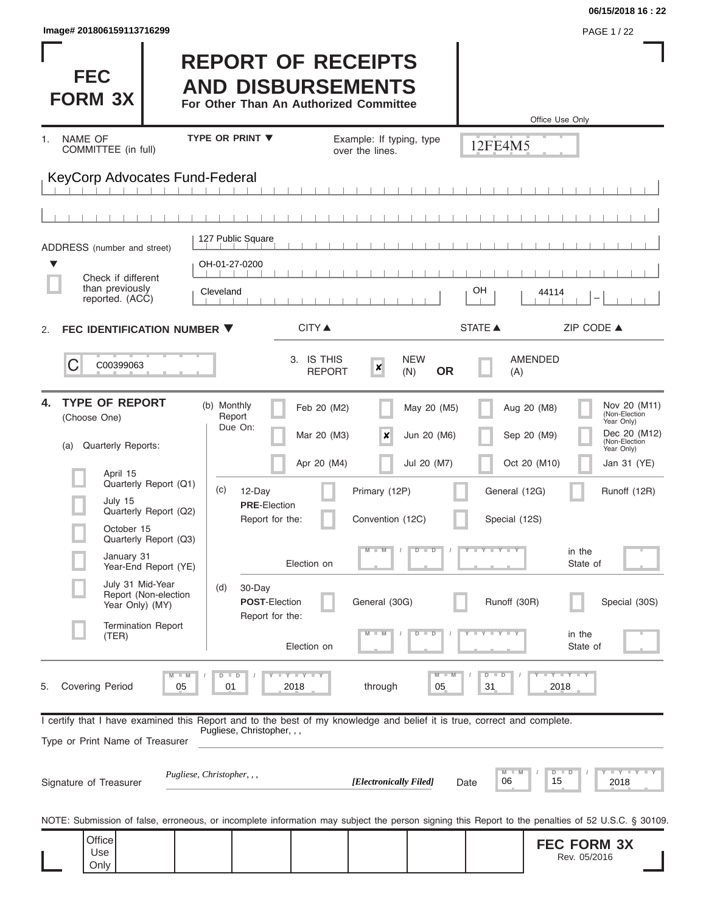| lmage# 201806159113716299 | <b>PAGE 1/22</b> |
|---------------------------|------------------|
|---------------------------|------------------|

**FEC FORM 3X**

# **REPORT OF RECEIPTS AND DISBURSEMENTS**

**For Other Than An Authorized Committee**

|                                                                                                                                                                                                                                                                                                                                           |                                                                                                                                                                                                                     |                                                                                                                            |                                                                                                                              | Office Use Only                                                                                                                                                            |
|-------------------------------------------------------------------------------------------------------------------------------------------------------------------------------------------------------------------------------------------------------------------------------------------------------------------------------------------|---------------------------------------------------------------------------------------------------------------------------------------------------------------------------------------------------------------------|----------------------------------------------------------------------------------------------------------------------------|------------------------------------------------------------------------------------------------------------------------------|----------------------------------------------------------------------------------------------------------------------------------------------------------------------------|
| NAME OF<br>1.<br>COMMITTEE (in full)                                                                                                                                                                                                                                                                                                      | TYPE OR PRINT ▼                                                                                                                                                                                                     | Example: If typing, type<br>over the lines.                                                                                | 12FE4M5                                                                                                                      |                                                                                                                                                                            |
| KeyCorp Advocates Fund-Federal                                                                                                                                                                                                                                                                                                            |                                                                                                                                                                                                                     |                                                                                                                            |                                                                                                                              |                                                                                                                                                                            |
|                                                                                                                                                                                                                                                                                                                                           |                                                                                                                                                                                                                     |                                                                                                                            |                                                                                                                              |                                                                                                                                                                            |
| ADDRESS (number and street)                                                                                                                                                                                                                                                                                                               | 127 Public Square                                                                                                                                                                                                   |                                                                                                                            |                                                                                                                              |                                                                                                                                                                            |
| ▼<br>Check if different<br>than previously<br>reported. (ACC)                                                                                                                                                                                                                                                                             | OH-01-27-0200<br>Cleveland                                                                                                                                                                                          |                                                                                                                            | OH                                                                                                                           | 44114                                                                                                                                                                      |
| FEC IDENTIFICATION NUMBER ▼<br>2.                                                                                                                                                                                                                                                                                                         | <b>CITY</b> ▲                                                                                                                                                                                                       |                                                                                                                            | <b>STATE ▲</b>                                                                                                               | ZIP CODE ▲                                                                                                                                                                 |
| C<br>C00399063                                                                                                                                                                                                                                                                                                                            | 3. IS THIS                                                                                                                                                                                                          | <b>NEW</b><br>$\boldsymbol{x}$<br><b>REPORT</b><br>(N)                                                                     | <b>AMENDED</b><br><b>OR</b><br>(A)                                                                                           |                                                                                                                                                                            |
| <b>TYPE OF REPORT</b><br>4.<br>(Choose One)<br>Quarterly Reports:<br>(a)<br>April 15<br>Quarterly Report (Q1)<br>July 15<br>Quarterly Report (Q2)<br>October 15<br>Quarterly Report (Q3)<br>January 31<br>Year-End Report (YE)<br>July 31 Mid-Year<br>Report (Non-election<br>Year Only) (MY)<br>Termination Report<br>(TER)              | (b) Monthly<br>Feb 20 (M2)<br>Report<br>Due On:<br>Mar 20 (M3)<br>Apr 20 (M4)<br>(c)<br>12-Day<br><b>PRE-Election</b><br>Report for the:<br>Election on<br>30-Day<br>(d)<br><b>POST-Election</b><br>Report for the: | May 20 (M5)<br>Jun 20 (M6)<br>×<br>Jul 20 (M7)<br>Primary (12P)<br>Convention (12C)<br>$M - M$<br>$D$ $D$<br>General (30G) | Aug 20 (M8)<br>Sep 20 (M9)<br>Oct 20 (M10)<br>General (12G)<br>Special (12S)<br>Ÿ<br>$T$ $Y$ $T$ $Y$ $T$ $Y$<br>Runoff (30R) | Nov 20 (M11)<br>(Non-Election<br>Year Only)<br>Dec 20 (M12)<br>(Non-Election<br>Year Only)<br>Jan 31 (YE)<br>Runoff (12R)<br>in the<br>State of<br>Special (30S)<br>in the |
| <b>Covering Period</b><br>05<br>5.                                                                                                                                                                                                                                                                                                        | Election on<br>$T$ $Y$ $T$ $Y$ $T$ $Y$<br>$D$ $D$<br>2018<br>01                                                                                                                                                     | $\overline{\mathsf{M}}$<br>through<br>05                                                                                   | $D$ $D$<br>31                                                                                                                | State of<br>$Y - Y - Y - I - Y$<br>2018                                                                                                                                    |
| I certify that I have examined this Report and to the best of my knowledge and belief it is true, correct and complete.<br>Type or Print Name of Treasurer<br>Signature of Treasurer<br>NOTE: Submission of false, erroneous, or incomplete information may subject the person signing this Report to the penalties of 52 U.S.C. § 30109. | Pugliese, Christopher, , ,<br>Pugliese, Christopher, , ,                                                                                                                                                            | [Electronically Filed]                                                                                                     | M<br>M<br>06<br>Date                                                                                                         | $Y - Y - Y - Y - Y$<br>$D$ $D$<br>15<br>2018                                                                                                                               |
| Office<br>Use<br>Only                                                                                                                                                                                                                                                                                                                     |                                                                                                                                                                                                                     |                                                                                                                            |                                                                                                                              | <b>FEC FORM 3X</b><br>Rev. 05/2016                                                                                                                                         |

**06/15/2018 16 : 22**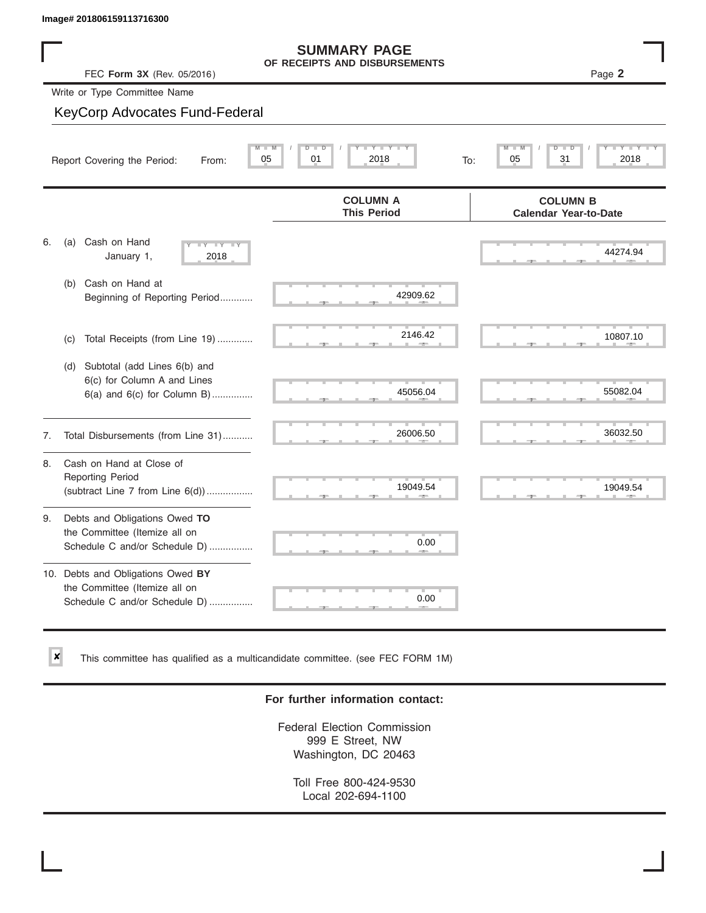✘

## **SUMMARY PAGE**

|    | lmage# 201806159113716300                                                                             |                                                      |                                                 |
|----|-------------------------------------------------------------------------------------------------------|------------------------------------------------------|-------------------------------------------------|
|    | FEC Form 3X (Rev. 05/2016)                                                                            | <b>SUMMARY PAGE</b><br>OF RECEIPTS AND DISBURSEMENTS | Page 2                                          |
|    | Write or Type Committee Name                                                                          |                                                      |                                                 |
|    | <b>KeyCorp Advocates Fund-Federal</b>                                                                 |                                                      |                                                 |
|    | Report Covering the Period:<br>From:                                                                  | $Y - Y - I$<br>D<br>D<br>05<br>01<br>2018<br>To:     | 31<br>2018<br>05                                |
|    |                                                                                                       | <b>COLUMN A</b><br><b>This Period</b>                | <b>COLUMN B</b><br><b>Calendar Year-to-Date</b> |
| 6. | Cash on Hand<br>(a)<br>Y'<br>January 1,<br>2018                                                       |                                                      | 44274.94                                        |
|    | Cash on Hand at<br>(b)<br>Beginning of Reporting Period                                               | 42909.62                                             |                                                 |
|    | Total Receipts (from Line 19)<br>(c)                                                                  | 2146.42                                              | 10807.10                                        |
|    | Subtotal (add Lines 6(b) and<br>(d)<br>6(c) for Column A and Lines<br>$6(a)$ and $6(c)$ for Column B) | 45056.04                                             | 55082.04                                        |
| 7. | Total Disbursements (from Line 31)                                                                    | 26006.50                                             | 36032.50                                        |
| 8. | Cash on Hand at Close of<br><b>Reporting Period</b><br>(subtract Line $7$ from Line $6(d)$ )          | 19049.54                                             | 19049.54                                        |
| 9. | Debts and Obligations Owed TO<br>the Committee (Itemize all on<br>Schedule C and/or Schedule D)       | 0.00                                                 |                                                 |
|    | 10. Debts and Obligations Owed BY<br>the Committee (Itemize all on<br>Schedule C and/or Schedule D)   | т<br>0.00                                            |                                                 |

This committee has qualified as a multicandidate committee. (see FEC FORM 1M)

#### **For further information contact:**

Federal Election Commission 999 E Street, NW Washington, DC 20463

Toll Free 800-424-9530 Local 202-694-1100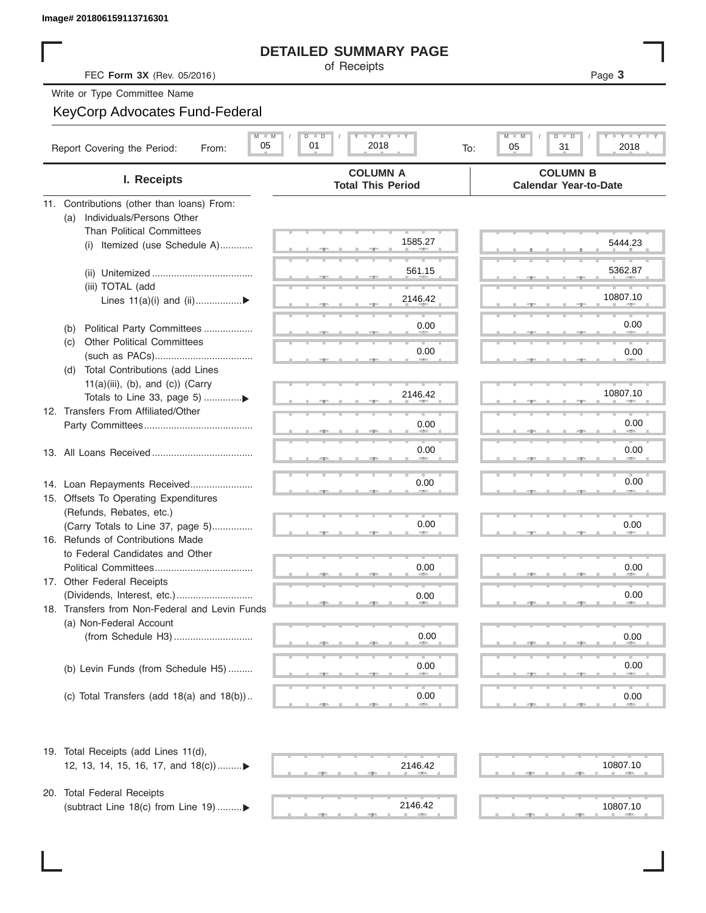## **DETAILED SUMMARY PAGE**

## KeyCorp Advocates Fund-Federal

| Image# 201806159113716301           |                                                |                                             |                                                 |
|-------------------------------------|------------------------------------------------|---------------------------------------------|-------------------------------------------------|
|                                     |                                                | <b>DETAILED SUMMARY PAGE</b>                |                                                 |
|                                     | FEC Form 3X (Rev. 05/2016)                     | of Receipts                                 | Page 3                                          |
| Write or Type Committee Name        |                                                |                                             |                                                 |
|                                     | KeyCorp Advocates Fund-Federal                 |                                             |                                                 |
|                                     | $M$ $M$<br>05                                  | <b>LY LY LY</b><br>$D$ $D$<br>01<br>2018    | Y TYT<br>$M$ $-$<br>D –<br>05<br>31<br>2018     |
| Report Covering the Period:         | From:                                          | To:                                         |                                                 |
|                                     | I. Receipts                                    | <b>COLUMN A</b><br><b>Total This Period</b> | <b>COLUMN B</b><br><b>Calendar Year-to-Date</b> |
|                                     | 11. Contributions (other than loans) From:     |                                             |                                                 |
| (a)                                 | Individuals/Persons Other                      |                                             |                                                 |
|                                     | <b>Than Political Committees</b>               | 1585.27                                     | 5444.23                                         |
| (i)                                 | Itemized (use Schedule A)                      |                                             |                                                 |
|                                     |                                                | 561.15                                      | 5362.87                                         |
| (iii) TOTAL (add                    |                                                |                                             |                                                 |
|                                     | Lines $11(a)(i)$ and $(ii)$                    | 2146.42                                     | 10807.10                                        |
|                                     |                                                |                                             |                                                 |
| (b)                                 | Political Party Committees                     | 0.00                                        | 0.00                                            |
| (C)                                 | <b>Other Political Committees</b>              |                                             |                                                 |
|                                     |                                                | 0.00                                        | 0.00                                            |
| (d)                                 | Total Contributions (add Lines                 |                                             |                                                 |
|                                     | $11(a)(iii)$ , (b), and (c)) (Carry            |                                             |                                                 |
|                                     |                                                | 2146.42                                     | 10807.10                                        |
| 12. Transfers From Affiliated/Other |                                                |                                             |                                                 |
|                                     |                                                | 0.00                                        | 0.00                                            |
|                                     |                                                | 0.00                                        | 0.00                                            |
|                                     |                                                |                                             |                                                 |
|                                     |                                                |                                             |                                                 |
|                                     | 14. Loan Repayments Received                   | 0.00                                        | 0.00                                            |
|                                     | 15. Offsets To Operating Expenditures          |                                             |                                                 |
| (Refunds, Rebates, etc.)            |                                                |                                             |                                                 |
|                                     | (Carry Totals to Line 37, page 5)              | 0.00                                        | 0.00                                            |
|                                     | 16. Refunds of Contributions Made              |                                             |                                                 |
|                                     | to Federal Candidates and Other                |                                             |                                                 |
| 17. Other Federal Receipts          | Political Committees                           | 0.00                                        | 0.00                                            |
|                                     |                                                | 0.00                                        | 0.00                                            |
|                                     | 18. Transfers from Non-Federal and Levin Funds |                                             |                                                 |
| (a) Non-Federal Account             |                                                |                                             |                                                 |
|                                     |                                                | 0.00                                        | 0.00                                            |
|                                     |                                                |                                             |                                                 |
|                                     | (b) Levin Funds (from Schedule H5)             | 0.00                                        | 0.00                                            |
|                                     |                                                |                                             |                                                 |
|                                     | (c) Total Transfers (add $18(a)$ and $18(b)$ ) | 0.00                                        | 0.00                                            |
|                                     |                                                |                                             |                                                 |
|                                     | 19. Total Receipts (add Lines 11(d),           |                                             | 10807.10                                        |
|                                     | 12, 13, 14, 15, 16, 17, and 18(c))             | 2146.42                                     |                                                 |
| 20. Total Federal Receipts          |                                                |                                             |                                                 |
|                                     | (subtract Line 18(c) from Line 19)▶            | 2146.42                                     | 10807.10                                        |

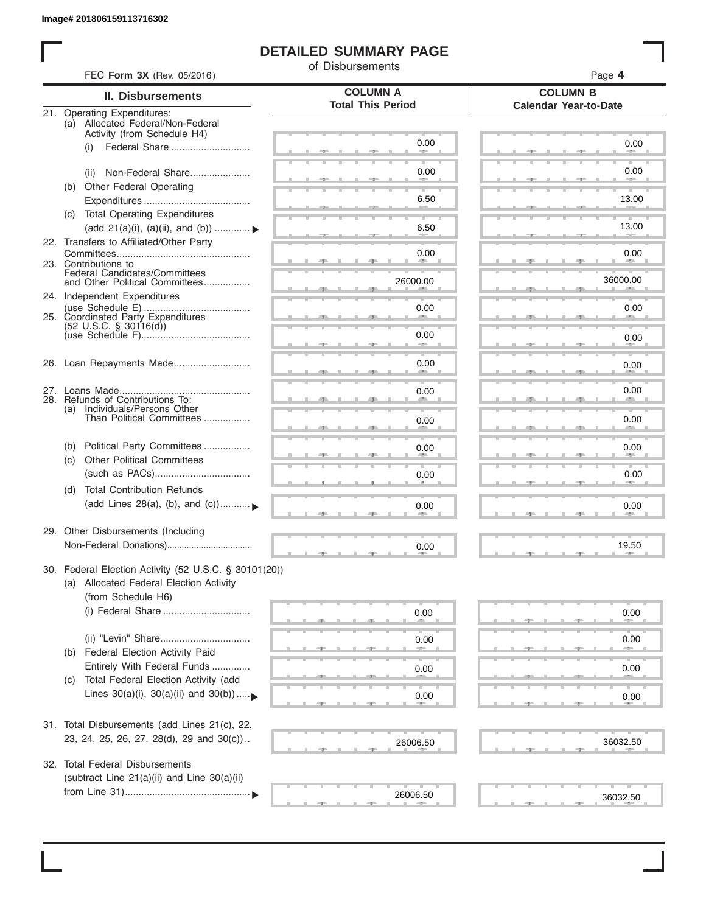ı

## **DETAILED SUMMARY PAGE**

of Disbursements

|     |                                                                  | <b>COLUMN A</b>          | <b>COLUMN B</b>              |
|-----|------------------------------------------------------------------|--------------------------|------------------------------|
|     | <b>II. Disbursements</b>                                         | <b>Total This Period</b> | <b>Calendar Year-to-Date</b> |
|     | 21. Operating Expenditures:<br>(a) Allocated Federal/Non-Federal |                          |                              |
|     | Activity (from Schedule H4)                                      |                          |                              |
|     | Federal Share<br>(i)                                             | 0.00                     | 0.00                         |
|     |                                                                  |                          |                              |
|     | Non-Federal Share<br>(ii)                                        | 0.00                     | 0.00                         |
|     | (b) Other Federal Operating                                      |                          |                              |
|     |                                                                  | 6.50                     | 13.00                        |
|     | (c) Total Operating Expenditures                                 |                          |                              |
|     | (add 21(a)(i), (a)(ii), and (b))                                 | 6.50                     | 13.00                        |
|     | 22. Transfers to Affiliated/Other Party                          |                          |                              |
|     |                                                                  | 0.00                     | 0.00                         |
|     | 23. Contributions to                                             | <b>All 200</b>           | <b>AREA</b>                  |
|     | Federal Candidates/Committees<br>and Other Political Committees  | 26000.00                 | 36000.00                     |
|     | 24. Independent Expenditures                                     |                          | <b>All Contracts</b>         |
|     |                                                                  | 0.00                     | 0.00                         |
|     | 25. Coordinated Party Expenditures                               |                          |                              |
|     | $(52 \text{ U.S.C. }$ § 30116(d))                                | 0.00                     |                              |
|     |                                                                  |                          | 0.00                         |
|     | 26. Loan Repayments Made                                         | 0.00                     |                              |
|     |                                                                  |                          | 0.00                         |
|     |                                                                  |                          | 0.00                         |
|     | 28. Refunds of Contributions To:                                 | 0.00                     |                              |
|     | (a) Individuals/Persons Other                                    |                          |                              |
|     | Than Political Committees                                        | 0.00                     | 0.00                         |
|     |                                                                  |                          |                              |
| (b) | Political Party Committees                                       | 0.00                     | 0.00                         |
| (C) | <b>Other Political Committees</b>                                |                          |                              |
|     |                                                                  | 0.00                     | 0.00                         |
| (d) | <b>Total Contribution Refunds</b>                                |                          |                              |
|     | (add Lines 28(a), (b), and (c))                                  | 0.00                     | 0.00                         |
|     |                                                                  |                          |                              |
|     | 29. Other Disbursements (Including                               |                          |                              |
|     |                                                                  | 0.00                     | 19.50                        |
|     |                                                                  |                          |                              |
|     | 30. Federal Election Activity (52 U.S.C. § 30101(20))            |                          |                              |
|     | (a) Allocated Federal Election Activity                          |                          |                              |
|     | (from Schedule H6)                                               |                          |                              |
|     |                                                                  | 0.00                     | 0.00                         |
|     |                                                                  |                          |                              |
|     |                                                                  |                          | 0.00                         |
| (b) | Federal Election Activity Paid                                   | 0.00                     |                              |
|     |                                                                  |                          |                              |
|     | Entirely With Federal Funds                                      | 0.00                     | 0.00                         |
| (C) | Total Federal Election Activity (add                             |                          |                              |
|     | Lines $30(a)(i)$ , $30(a)(ii)$ and $30(b))$                      | 0.00                     | 0.00                         |
|     |                                                                  |                          |                              |
|     | 31. Total Disbursements (add Lines 21(c), 22,                    |                          |                              |
|     | 23, 24, 25, 26, 27, 28(d), 29 and 30(c))                         | 26006.50                 | 36032.50                     |
|     |                                                                  |                          |                              |
| 32. | <b>Total Federal Disbursements</b>                               |                          |                              |
|     | (subtract Line 21(a)(ii) and Line 30(a)(ii)                      |                          |                              |
|     |                                                                  |                          |                              |
|     |                                                                  | 26006.50                 | 36032.50                     |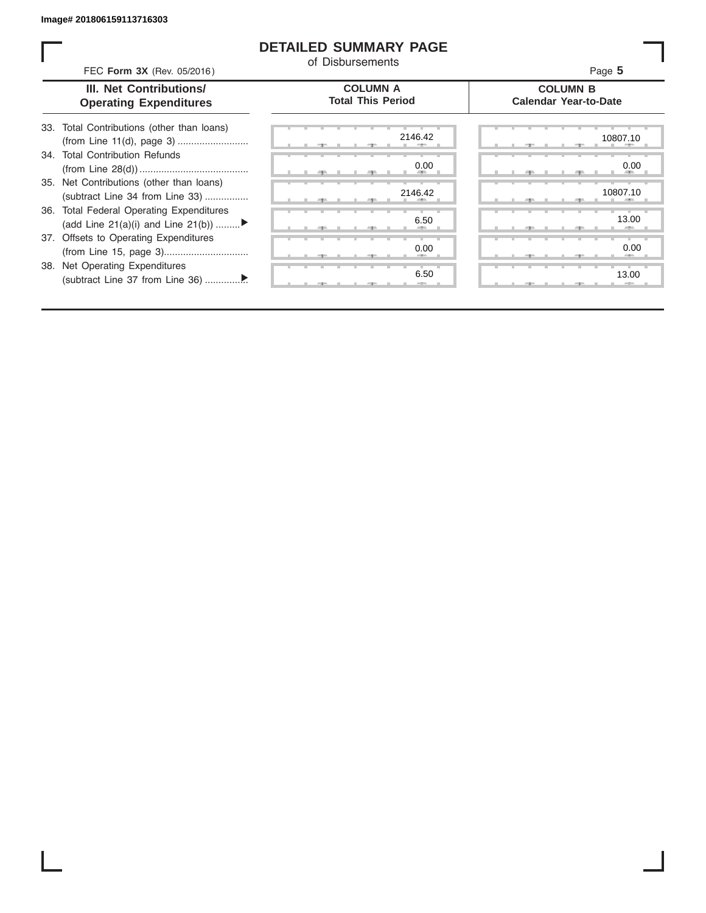ı

### **DETAILED SUMMARY PAGE**

of Disbursements

|     | FEC Form 3X (Rev. 05/2016)                                                     | u Disnarseniano                             | Page 5                                          |
|-----|--------------------------------------------------------------------------------|---------------------------------------------|-------------------------------------------------|
|     | III. Net Contributions/<br><b>Operating Expenditures</b>                       | <b>COLUMN A</b><br><b>Total This Period</b> | <b>COLUMN B</b><br><b>Calendar Year-to-Date</b> |
|     | 33. Total Contributions (other than loans)                                     | 2146.42                                     | 10807.10                                        |
| .34 | <b>Total Contribution Refunds</b>                                              | 0.00                                        | 0.00                                            |
|     | 35. Net Contributions (other than loans)<br>(subtract Line 34 from Line 33)    | 2146.42                                     | 10807.10                                        |
|     | 36. Total Federal Operating Expenditures<br>(add Line 21(a)(i) and Line 21(b)) | 6.50                                        | 13.00                                           |
|     | 37. Offsets to Operating Expenditures                                          | 0.00                                        | 0.00                                            |
|     | 38. Net Operating Expenditures                                                 | 6.50                                        | 13.00                                           |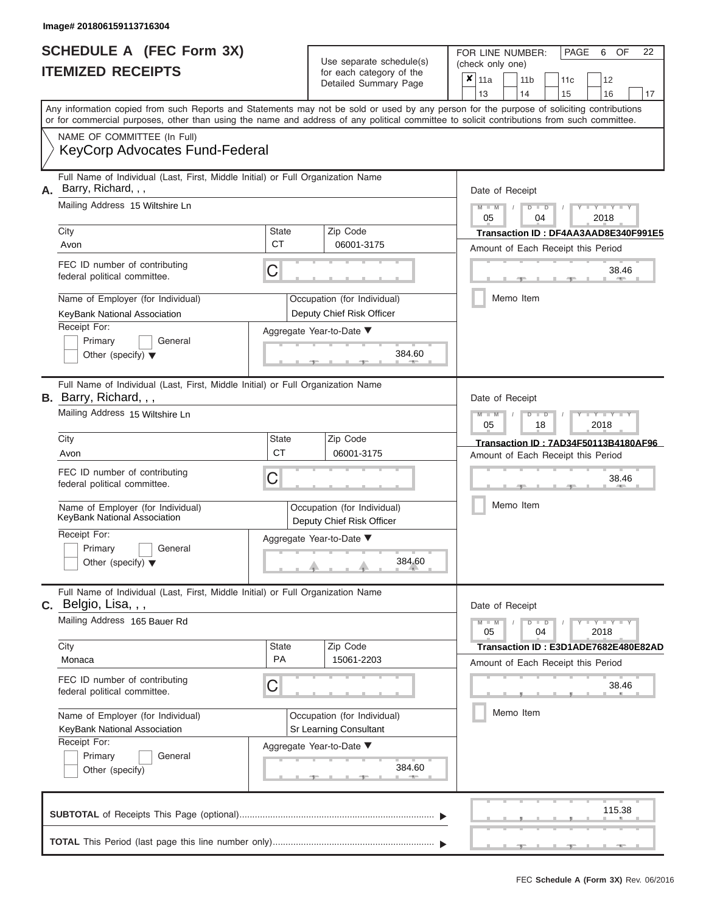|                          | <b>SCHEDULE A (FEC Form 3X)</b> |
|--------------------------|---------------------------------|
| <b>ITEMIZED RECEIPTS</b> |                                 |

FOR LINE NUMBER: PAGE 6<br>(check only one) Use separate schedule(s)<br>for each category of the<br> $\frac{|\mathbf{x}|}{\mathbf{x}}$  11a  $\frac{|\mathbf{x}|}{\mathbf{x}}$  11b

 $\overline{\mathbf{x}}$  11a

, , . ▲ ▲ ▲ , , . Aggregate Year-to-Date ▼  $\frac{384.6}{1}$ C C ▲ ▲ ▲ , , . , , .  $384.6$ C **M M / D D / Y Y Y Y M M / D D / Y Y Y Y M M / D D / Y Y Y Y**  $\frac{384.6}{1}$ , , . Any information copied from such Reports and Statements may not be sold or used by any person for the purpose of soliciting contributions or for commercial purposes, other than using the name and address of any political committee to solicit contributions from such committee. NAME OF COMMITTEE (In Full) **SUBTOTAL** of Receipts This Page (optional)............................................................................ ▼ ▼ Full Name of Individual (Last, First, Middle Initial) or Full Organization Name Mailing Address 15 Wiltshire Ln City City Code City State City Receipt For: Primary **General** Other (specify) ▼ Amount of Each Receipt this Period **A.** Date of Receipt Name of Employer (for Individual)  $\vert$  Occupation (for Individual) FEC ID number of contributing federal political committee. Full Name of Individual (Last, First, Middle Initial) or Full Organization Name Mailing Address 15 Wiltshire Ln City **State** Zip Code Receipt For: Primary **General** Other (specify) ▼ Amount of Each Receipt this Period **B.** Barry, Richard, , , Aggregate Year-to-Date ▼ Date of Receipt FEC ID number of contributing federal political committee. Full Name of Individual (Last, First, Middle Initial) or Full Organization Name Mailing Address 165 Bauer Rd City City State Zip Code Receipt For: Primary **General** Other (specify) Amount of Each Receipt this Period **C.** Belgio, Lisa, , , Aggregate Year-to-Date ▼ Date of Receipt FEC ID number of contributing federal political committee. Detailed Summary Page  $\begin{array}{|c|c|c|c|c|c|}\n\hline\n11a & 11b & 11c & 12 \ \hline\n13 & 14 & 15 & 16\n\end{array}$ |13 | |14 | |15 | |16 | |17 Memo Item Memo Item Memo Item Name of Employer (for Individual) <br>
KeyBank National Association **Communisty** China Deputy China Bick Officer Name of Employer (for Individual) <br> Qccupation (for Individual) KeyCorp Advocates Fund-Federal Barry, Richard, , , 05 04 2018 Avon CT 06001-3175 **Transaction ID : DF4AA3AAD8E340F991E5** Federal political committee.<br>
Name of Employer (for Individual)<br>
KeyBank National Association Deputy Chief Risk Officer<br>
Receipt For: Aggregate Year-to-Date ▼<br>
Deputy Chief Risk Officer<br>
Primary General Other (specify) ▼ 05 18 2018 UIT CIT COOP T**ransaction ID : 7AD34F50113B4180AF96**<br>Avon CT 06001-3175 Amount of Fach Beceint this Period Federal political committee.<br>
The of Employer (for Individual)<br>
KeyBank National Association Deputy Chief Risk Officer<br>
Receipt For: Aggregate Year-to-Date ▼<br>
Primary General Other (specify) ▼ 384.60  $05$  04  $\parallel$  2018 Monaca PA 15061-2203 **Transaction ID : E3D1ADE7682E480E82AD** KeyBank National Association Sr Learning Consultant 38.46<br>
(a)<br>
384.60<br>
384.60 115.38

**TOTAL** This Period (last page this line number only)...............................................................

FEC **Schedule A (Form 3X)** Rev. 06/2016

OF 22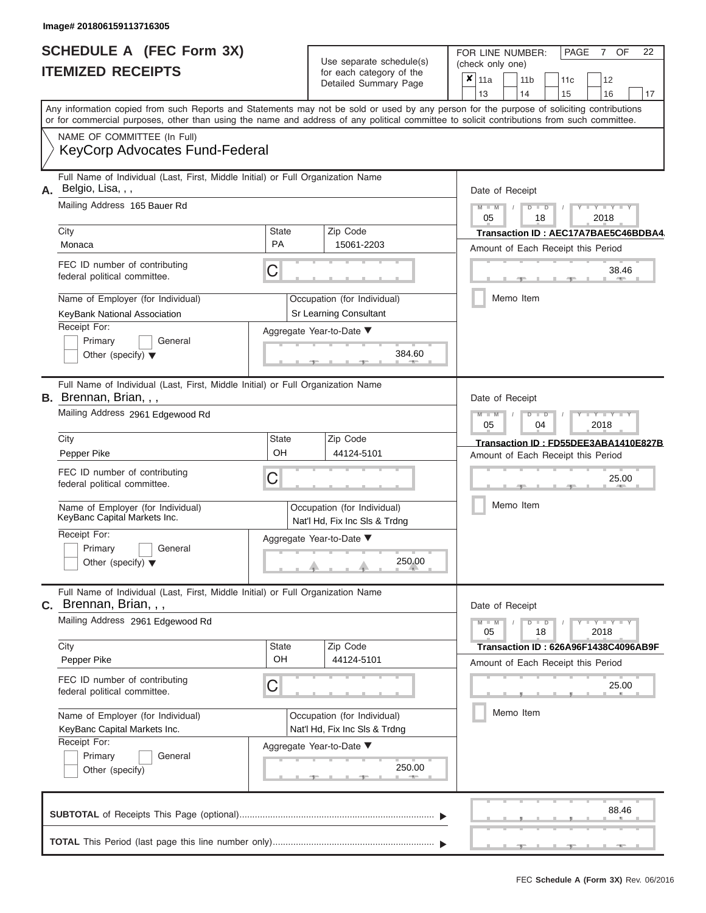|                          | <b>SCHEDULE A (FEC Form 3X)</b> |
|--------------------------|---------------------------------|
| <b>ITEMIZED RECEIPTS</b> |                                 |

FOR LINE NUMBER: PAGE 7 Use separate schedule(s) (check only one)<br>for each category of the  $\begin{array}{|c|c|c|c|c|}\hline \textbf{X} & 11a & 1\end{array}$ 

|                                                                                                                                                                                                                    |              | Detailed Summary Page                                        | × | 11a             |    | 11 b                 | 11c                                  | 12                                                                                                                                                                                                                                                                                                                                                                                                                                  |                        |    |
|--------------------------------------------------------------------------------------------------------------------------------------------------------------------------------------------------------------------|--------------|--------------------------------------------------------------|---|-----------------|----|----------------------|--------------------------------------|-------------------------------------------------------------------------------------------------------------------------------------------------------------------------------------------------------------------------------------------------------------------------------------------------------------------------------------------------------------------------------------------------------------------------------------|------------------------|----|
| Any information copied from such Reports and Statements may not be sold or used by any person for the purpose of soliciting contributions                                                                          |              |                                                              |   | 13              | 14 |                      | 15                                   | 16                                                                                                                                                                                                                                                                                                                                                                                                                                  |                        | 17 |
| or for commercial purposes, other than using the name and address of any political committee to solicit contributions from such committee.<br>NAME OF COMMITTEE (In Full)<br><b>KeyCorp Advocates Fund-Federal</b> |              |                                                              |   |                 |    |                      |                                      |                                                                                                                                                                                                                                                                                                                                                                                                                                     |                        |    |
| Full Name of Individual (Last, First, Middle Initial) or Full Organization Name<br>Belgio, Lisa, , ,<br>А.                                                                                                         |              |                                                              |   | Date of Receipt |    |                      |                                      |                                                                                                                                                                                                                                                                                                                                                                                                                                     |                        |    |
| Mailing Address 165 Bauer Rd                                                                                                                                                                                       |              |                                                              |   | $M - M$<br>05   |    | $D$ $D$<br>18        |                                      | $Y = Y + Y$<br>2018                                                                                                                                                                                                                                                                                                                                                                                                                 |                        |    |
| City                                                                                                                                                                                                               | <b>State</b> | Zip Code                                                     |   |                 |    |                      | Transaction ID: AEC17A7BAE5C46BDBA4. |                                                                                                                                                                                                                                                                                                                                                                                                                                     |                        |    |
| Monaca                                                                                                                                                                                                             | <b>PA</b>    | 15061-2203                                                   |   |                 |    |                      | Amount of Each Receipt this Period   |                                                                                                                                                                                                                                                                                                                                                                                                                                     |                        |    |
| FEC ID number of contributing<br>federal political committee.                                                                                                                                                      | С            |                                                              |   |                 |    |                      |                                      |                                                                                                                                                                                                                                                                                                                                                                                                                                     | 38.46<br><b>AND IN</b> |    |
| Name of Employer (for Individual)                                                                                                                                                                                  |              | Occupation (for Individual)                                  |   |                 |    | Memo Item            |                                      |                                                                                                                                                                                                                                                                                                                                                                                                                                     |                        |    |
| KeyBank National Association                                                                                                                                                                                       |              | Sr Learning Consultant                                       |   |                 |    |                      |                                      |                                                                                                                                                                                                                                                                                                                                                                                                                                     |                        |    |
| Receipt For:                                                                                                                                                                                                       |              | Aggregate Year-to-Date ▼                                     |   |                 |    |                      |                                      |                                                                                                                                                                                                                                                                                                                                                                                                                                     |                        |    |
| Primary<br>General<br>Other (specify) $\blacktriangledown$                                                                                                                                                         |              | 384.60                                                       |   |                 |    |                      |                                      |                                                                                                                                                                                                                                                                                                                                                                                                                                     |                        |    |
| Full Name of Individual (Last, First, Middle Initial) or Full Organization Name<br><b>B.</b> Brennan, Brian, , ,                                                                                                   |              |                                                              |   | Date of Receipt |    |                      |                                      |                                                                                                                                                                                                                                                                                                                                                                                                                                     |                        |    |
| Mailing Address 2961 Edgewood Rd                                                                                                                                                                                   |              |                                                              |   | $M - M$<br>05   |    | $D$ $D$<br>04        |                                      | $\begin{array}{c} \mathbf{1} \mathbf{1} \mathbf{1} \mathbf{1} \mathbf{1} \mathbf{1} \mathbf{1} \mathbf{1} \mathbf{1} \mathbf{1} \mathbf{1} \mathbf{1} \mathbf{1} \mathbf{1} \mathbf{1} \mathbf{1} \mathbf{1} \mathbf{1} \mathbf{1} \mathbf{1} \mathbf{1} \mathbf{1} \mathbf{1} \mathbf{1} \mathbf{1} \mathbf{1} \mathbf{1} \mathbf{1} \mathbf{1} \mathbf{1} \mathbf{1} \mathbf{1} \mathbf{1} \mathbf{1} \mathbf{1} \mathbf$<br>2018 |                        |    |
| City                                                                                                                                                                                                               | <b>State</b> | Zip Code                                                     |   |                 |    |                      | Transaction ID: FD55DEE3ABA1410E827B |                                                                                                                                                                                                                                                                                                                                                                                                                                     |                        |    |
| Pepper Pike                                                                                                                                                                                                        | OH           | 44124-5101                                                   |   |                 |    |                      | Amount of Each Receipt this Period   |                                                                                                                                                                                                                                                                                                                                                                                                                                     |                        |    |
| FEC ID number of contributing<br>federal political committee.                                                                                                                                                      | С            |                                                              |   |                 |    |                      |                                      |                                                                                                                                                                                                                                                                                                                                                                                                                                     | 25.00                  |    |
| Name of Employer (for Individual)<br>KeyBanc Capital Markets Inc.                                                                                                                                                  |              | Occupation (for Individual)<br>Nat'l Hd, Fix Inc SIs & Trdng |   |                 |    | Memo Item            |                                      |                                                                                                                                                                                                                                                                                                                                                                                                                                     |                        |    |
| Receipt For:<br>Primary<br>General<br>Other (specify) $\blacktriangledown$                                                                                                                                         |              | Aggregate Year-to-Date ▼<br>250.00                           |   |                 |    |                      |                                      |                                                                                                                                                                                                                                                                                                                                                                                                                                     |                        |    |
| Full Name of Individual (Last, First, Middle Initial) or Full Organization Name<br>C. Brennan, Brian, , ,                                                                                                          |              |                                                              |   | Date of Receipt |    |                      |                                      |                                                                                                                                                                                                                                                                                                                                                                                                                                     |                        |    |
| Mailing Address 2961 Edgewood Rd                                                                                                                                                                                   |              |                                                              |   | $M - M$<br>05   |    | $D$ $\Box$ $D$<br>18 |                                      | $Y - Y - Y - Y - Y$<br>2018                                                                                                                                                                                                                                                                                                                                                                                                         |                        |    |
| City                                                                                                                                                                                                               | <b>State</b> | Zip Code                                                     |   |                 |    |                      | Transaction ID: 626A96F1438C4096AB9F |                                                                                                                                                                                                                                                                                                                                                                                                                                     |                        |    |
| Pepper Pike                                                                                                                                                                                                        | OH           | 44124-5101                                                   |   |                 |    |                      | Amount of Each Receipt this Period   |                                                                                                                                                                                                                                                                                                                                                                                                                                     |                        |    |
| FEC ID number of contributing<br>federal political committee.                                                                                                                                                      | С            |                                                              |   |                 |    |                      |                                      |                                                                                                                                                                                                                                                                                                                                                                                                                                     | 25.00                  |    |
| Name of Employer (for Individual)<br>KeyBanc Capital Markets Inc.                                                                                                                                                  |              | Occupation (for Individual)<br>Nat'l Hd, Fix Inc Sls & Trdng |   |                 |    | Memo Item            |                                      |                                                                                                                                                                                                                                                                                                                                                                                                                                     |                        |    |
| Receipt For:<br>Primary<br>General<br>Other (specify)                                                                                                                                                              |              | Aggregate Year-to-Date ▼<br>250.00<br><b>AND IN</b>          |   |                 |    |                      |                                      |                                                                                                                                                                                                                                                                                                                                                                                                                                     |                        |    |
|                                                                                                                                                                                                                    |              |                                                              |   |                 |    |                      |                                      |                                                                                                                                                                                                                                                                                                                                                                                                                                     | 88.46                  |    |

OF 22

 $\overline{\phantom{0}}$ 

 $\Box$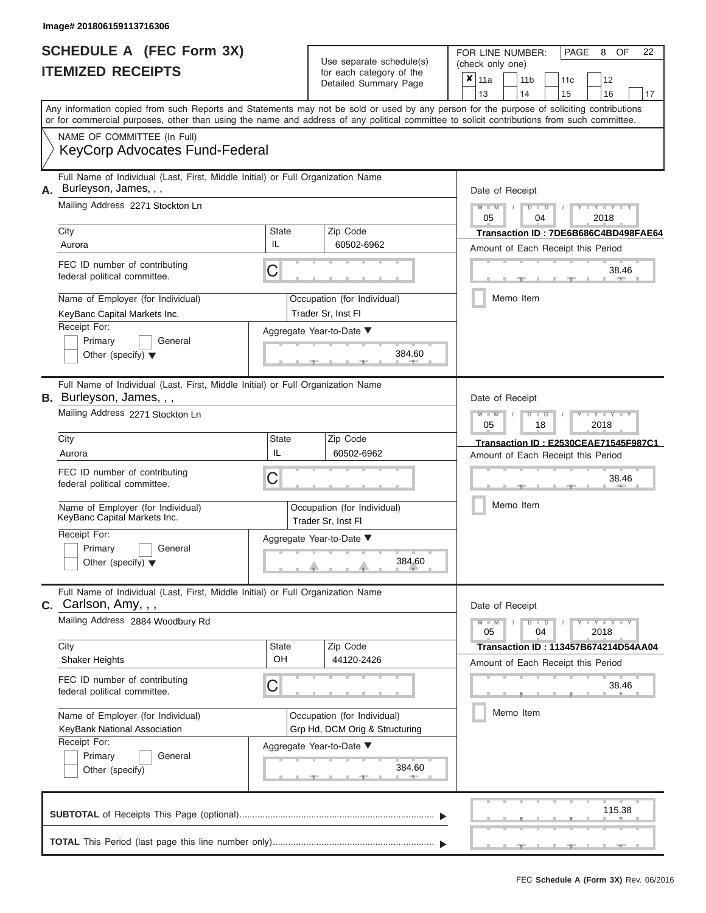|                          | <b>SCHEDULE A (FEC Form 3X)</b> |
|--------------------------|---------------------------------|
| <b>ITEMIZED RECEIPTS</b> |                                 |

FOR LINE NUMBER:<br>(check only one) Use separate schedule(s) (check only one) for each category of the

| <u>IIEMIZED RECEIPIS</u>                                                                                                                               | for each category of the<br>Detailed Summary Page                                                                                                                                                                                                                                       | ×<br>12<br>11a<br>11 <sub>b</sub><br>11c<br>13<br>17<br>14<br>15<br>16     |
|--------------------------------------------------------------------------------------------------------------------------------------------------------|-----------------------------------------------------------------------------------------------------------------------------------------------------------------------------------------------------------------------------------------------------------------------------------------|----------------------------------------------------------------------------|
|                                                                                                                                                        | Any information copied from such Reports and Statements may not be sold or used by any person for the purpose of soliciting contributions<br>or for commercial purposes, other than using the name and address of any political committee to solicit contributions from such committee. |                                                                            |
| NAME OF COMMITTEE (In Full)<br><b>KeyCorp Advocates Fund-Federal</b>                                                                                   |                                                                                                                                                                                                                                                                                         |                                                                            |
| Full Name of Individual (Last, First, Middle Initial) or Full Organization Name<br>Burleyson, James, , ,<br>А.                                         |                                                                                                                                                                                                                                                                                         | Date of Receipt                                                            |
| Mailing Address 2271 Stockton Ln                                                                                                                       |                                                                                                                                                                                                                                                                                         | $Y = Y$<br>$\overline{\mathsf{M}}$<br>D<br>D<br>2018<br>05<br>04           |
| City<br>Aurora                                                                                                                                         | <b>State</b><br>Zip Code<br>IL<br>60502-6962                                                                                                                                                                                                                                            | Transaction ID: 7DE6B686C4BD498FAE64<br>Amount of Each Receipt this Period |
| FEC ID number of contributing<br>federal political committee.                                                                                          | C                                                                                                                                                                                                                                                                                       | 38.46                                                                      |
| Name of Employer (for Individual)<br>KeyBanc Capital Markets Inc.<br>Receipt For:                                                                      | Occupation (for Individual)<br>Trader Sr, Inst Fl<br>Aggregate Year-to-Date ▼                                                                                                                                                                                                           | Memo Item                                                                  |
| Primary<br>General<br>Other (specify) $\blacktriangledown$                                                                                             | 384.60                                                                                                                                                                                                                                                                                  |                                                                            |
| Full Name of Individual (Last, First, Middle Initial) or Full Organization Name<br><b>B.</b> Burleyson, James, , ,<br>Mailing Address 2271 Stockton Ln |                                                                                                                                                                                                                                                                                         | Date of Receipt                                                            |
|                                                                                                                                                        |                                                                                                                                                                                                                                                                                         | Y L Y L<br>M<br>$\overline{\mathsf{M}}$<br>D<br>05<br>18<br>2018           |
| City<br>Aurora                                                                                                                                         | <b>State</b><br>Zip Code<br>IL<br>60502-6962                                                                                                                                                                                                                                            | Transaction ID: E2530CEAE71545F987C1<br>Amount of Each Receipt this Period |
| FEC ID number of contributing<br>federal political committee.                                                                                          | C                                                                                                                                                                                                                                                                                       | 38.46                                                                      |
| Name of Employer (for Individual)<br>KeyBanc Capital Markets Inc.                                                                                      | Occupation (for Individual)<br>Trader Sr, Inst FI                                                                                                                                                                                                                                       | Memo Item                                                                  |
| Receipt For:<br>Primary<br>General<br>Other (specify) $\blacktriangledown$                                                                             | Aggregate Year-to-Date ▼<br>384.60                                                                                                                                                                                                                                                      |                                                                            |
| Full Name of Individual (Last, First, Middle Initial) or Full Organization Name<br>$c.$ Carlson, Amy, $,$ ,                                            |                                                                                                                                                                                                                                                                                         | Date of Receipt                                                            |
| Mailing Address 2884 Woodbury Rd                                                                                                                       |                                                                                                                                                                                                                                                                                         | $Y - Y - Y$<br>$\Box$<br>$\overline{D}$<br>05<br>04<br>2018                |
| City<br><b>Shaker Heights</b>                                                                                                                          | <b>State</b><br>Zip Code<br>OH<br>44120-2426                                                                                                                                                                                                                                            | Transaction ID: 113457B674214D54AA04<br>Amount of Each Receipt this Period |
| FEC ID number of contributing<br>federal political committee.                                                                                          | C                                                                                                                                                                                                                                                                                       | 38.46                                                                      |
| Name of Employer (for Individual)<br>KeyBank National Association<br>Receipt For:                                                                      | Occupation (for Individual)<br>Grp Hd, DCM Orig & Structuring                                                                                                                                                                                                                           | Memo Item                                                                  |
| Primary<br>General<br>Other (specify)                                                                                                                  | Aggregate Year-to-Date ▼<br>384.60                                                                                                                                                                                                                                                      |                                                                            |
|                                                                                                                                                        |                                                                                                                                                                                                                                                                                         | 115.38                                                                     |
|                                                                                                                                                        |                                                                                                                                                                                                                                                                                         |                                                                            |

FEC **Schedule A (Form 3X)** Rev. 06/2016

PAGE 8 OF 22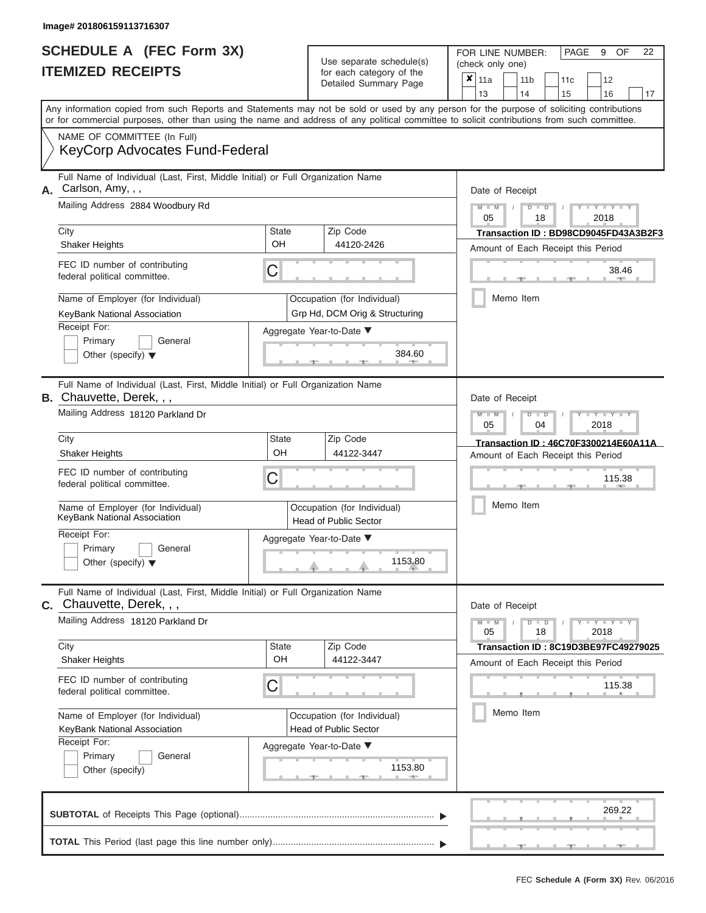|                          | <b>SCHEDULE A (FEC Form 3X)</b> |
|--------------------------|---------------------------------|
| <b>ITEMIZED RECEIPTS</b> |                                 |

FOR LINE NUMBER:<br>(check only one) Use separate schedule(s) for each category of the

|                                                               |                                                                                                                                                                                                                                                                                         |                             |                                                             | $\frac{1}{2}$<br>Detailed Summary Page | x     | 11a                                                                                       |           |  | 11 <sub>b</sub> | 11c | 12                                          |    |  |  |  |  |
|---------------------------------------------------------------|-----------------------------------------------------------------------------------------------------------------------------------------------------------------------------------------------------------------------------------------------------------------------------------------|-----------------------------|-------------------------------------------------------------|----------------------------------------|-------|-------------------------------------------------------------------------------------------|-----------|--|-----------------|-----|---------------------------------------------|----|--|--|--|--|
|                                                               |                                                                                                                                                                                                                                                                                         |                             |                                                             |                                        |       | 13                                                                                        |           |  | 14              | 15  | 16                                          | 17 |  |  |  |  |
|                                                               | Any information copied from such Reports and Statements may not be sold or used by any person for the purpose of soliciting contributions<br>or for commercial purposes, other than using the name and address of any political committee to solicit contributions from such committee. |                             |                                                             |                                        |       |                                                                                           |           |  |                 |     |                                             |    |  |  |  |  |
|                                                               | NAME OF COMMITTEE (In Full)                                                                                                                                                                                                                                                             |                             |                                                             |                                        |       |                                                                                           |           |  |                 |     |                                             |    |  |  |  |  |
|                                                               | <b>KeyCorp Advocates Fund-Federal</b>                                                                                                                                                                                                                                                   |                             |                                                             |                                        |       |                                                                                           |           |  |                 |     |                                             |    |  |  |  |  |
|                                                               | Full Name of Individual (Last, First, Middle Initial) or Full Organization Name<br>A. Carlson, Amy, , ,                                                                                                                                                                                 |                             |                                                             |                                        |       | Date of Receipt                                                                           |           |  |                 |     |                                             |    |  |  |  |  |
| Mailing Address 2884 Woodbury Rd                              |                                                                                                                                                                                                                                                                                         |                             |                                                             |                                        |       | $M - M$<br>$D$ $D$<br>$Y - Y - Y$<br>2018<br>05<br>18                                     |           |  |                 |     |                                             |    |  |  |  |  |
|                                                               | City                                                                                                                                                                                                                                                                                    | <b>State</b>                |                                                             | Zip Code                               |       | Transaction ID: BD98CD9045FD43A3B2F3                                                      |           |  |                 |     |                                             |    |  |  |  |  |
| OH<br><b>Shaker Heights</b>                                   |                                                                                                                                                                                                                                                                                         |                             |                                                             | 44120-2426                             |       | Amount of Each Receipt this Period                                                        |           |  |                 |     |                                             |    |  |  |  |  |
|                                                               | FEC ID number of contributing<br>federal political committee.                                                                                                                                                                                                                           | С                           |                                                             |                                        | 38.46 |                                                                                           |           |  |                 |     |                                             |    |  |  |  |  |
|                                                               | Name of Employer (for Individual)                                                                                                                                                                                                                                                       |                             |                                                             | Occupation (for Individual)            |       |                                                                                           |           |  | Memo Item       |     |                                             |    |  |  |  |  |
|                                                               | KeyBank National Association                                                                                                                                                                                                                                                            |                             |                                                             | Grp Hd, DCM Orig & Structuring         |       |                                                                                           |           |  |                 |     |                                             |    |  |  |  |  |
|                                                               | Receipt For:<br>Primary<br>General                                                                                                                                                                                                                                                      |                             |                                                             | Aggregate Year-to-Date ▼               |       |                                                                                           |           |  |                 |     |                                             |    |  |  |  |  |
|                                                               | Other (specify) $\blacktriangledown$                                                                                                                                                                                                                                                    |                             |                                                             | 384.60                                 |       |                                                                                           |           |  |                 |     |                                             |    |  |  |  |  |
|                                                               | Full Name of Individual (Last, First, Middle Initial) or Full Organization Name<br><b>B.</b> Chauvette, Derek, , ,                                                                                                                                                                      |                             |                                                             |                                        |       | Date of Receipt                                                                           |           |  |                 |     |                                             |    |  |  |  |  |
|                                                               | Mailing Address 18120 Parkland Dr                                                                                                                                                                                                                                                       |                             |                                                             |                                        |       | $M - M$<br>Y I Y I<br>$D$ $D$<br>05<br>04<br>2018<br>Transaction ID: 46C70F3300214E60A11A |           |  |                 |     |                                             |    |  |  |  |  |
|                                                               | City                                                                                                                                                                                                                                                                                    | <b>State</b>                |                                                             | Zip Code                               |       |                                                                                           |           |  |                 |     |                                             |    |  |  |  |  |
|                                                               | <b>Shaker Heights</b>                                                                                                                                                                                                                                                                   | OH                          |                                                             | 44122-3447                             |       | Amount of Each Receipt this Period                                                        |           |  |                 |     |                                             |    |  |  |  |  |
| FEC ID number of contributing<br>federal political committee. |                                                                                                                                                                                                                                                                                         |                             | С                                                           |                                        |       |                                                                                           |           |  | 115.38          |     |                                             |    |  |  |  |  |
|                                                               | Name of Employer (for Individual)<br>KeyBank National Association                                                                                                                                                                                                                       |                             | Occupation (for Individual)<br><b>Head of Public Sector</b> |                                        |       |                                                                                           |           |  | Memo Item       |     |                                             |    |  |  |  |  |
|                                                               | Receipt For:                                                                                                                                                                                                                                                                            |                             |                                                             | Aggregate Year-to-Date ▼               |       |                                                                                           |           |  |                 |     |                                             |    |  |  |  |  |
|                                                               | Primary<br>General<br>Other (specify) $\blacktriangledown$                                                                                                                                                                                                                              |                             |                                                             | 1153.80                                |       |                                                                                           |           |  |                 |     |                                             |    |  |  |  |  |
|                                                               | Full Name of Individual (Last, First, Middle Initial) or Full Organization Name<br>C. Chauvette, Derek, , ,                                                                                                                                                                             |                             |                                                             |                                        |       | Date of Receipt                                                                           |           |  |                 |     |                                             |    |  |  |  |  |
|                                                               | Mailing Address 18120 Parkland Dr                                                                                                                                                                                                                                                       |                             |                                                             |                                        |       | $M - M$<br>05                                                                             |           |  | $D$ $D$<br>18   |     | $Y - Y - Y - Y - Y$<br>2018                 |    |  |  |  |  |
|                                                               | City                                                                                                                                                                                                                                                                                    | <b>State</b><br>OH          |                                                             | Zip Code                               |       |                                                                                           |           |  |                 |     | <b>Transaction ID: 8C19D3BE97FC49279025</b> |    |  |  |  |  |
|                                                               | <b>Shaker Heights</b>                                                                                                                                                                                                                                                                   |                             |                                                             | 44122-3447                             |       |                                                                                           |           |  |                 |     | Amount of Each Receipt this Period          |    |  |  |  |  |
|                                                               | FEC ID number of contributing<br>federal political committee.                                                                                                                                                                                                                           | С                           |                                                             |                                        |       | 115.38                                                                                    |           |  |                 |     |                                             |    |  |  |  |  |
|                                                               | Name of Employer (for Individual)                                                                                                                                                                                                                                                       | Occupation (for Individual) |                                                             |                                        |       |                                                                                           | Memo Item |  |                 |     |                                             |    |  |  |  |  |
| KeyBank National Association                                  |                                                                                                                                                                                                                                                                                         |                             |                                                             | <b>Head of Public Sector</b>           |       |                                                                                           |           |  |                 |     |                                             |    |  |  |  |  |
|                                                               | Receipt For:<br>Primary<br>General                                                                                                                                                                                                                                                      |                             |                                                             | Aggregate Year-to-Date ▼               |       |                                                                                           |           |  |                 |     |                                             |    |  |  |  |  |
|                                                               | Other (specify)                                                                                                                                                                                                                                                                         | 1153.80                     |                                                             |                                        |       |                                                                                           |           |  |                 |     |                                             |    |  |  |  |  |
|                                                               |                                                                                                                                                                                                                                                                                         |                             |                                                             |                                        |       |                                                                                           |           |  |                 |     | 269.22                                      |    |  |  |  |  |
|                                                               |                                                                                                                                                                                                                                                                                         |                             |                                                             |                                        |       |                                                                                           |           |  |                 |     |                                             |    |  |  |  |  |

FEC **Schedule A (Form 3X)** Rev. 06/2016

 ▲ ▲ ▲ , , .

PAGE 9 OF 22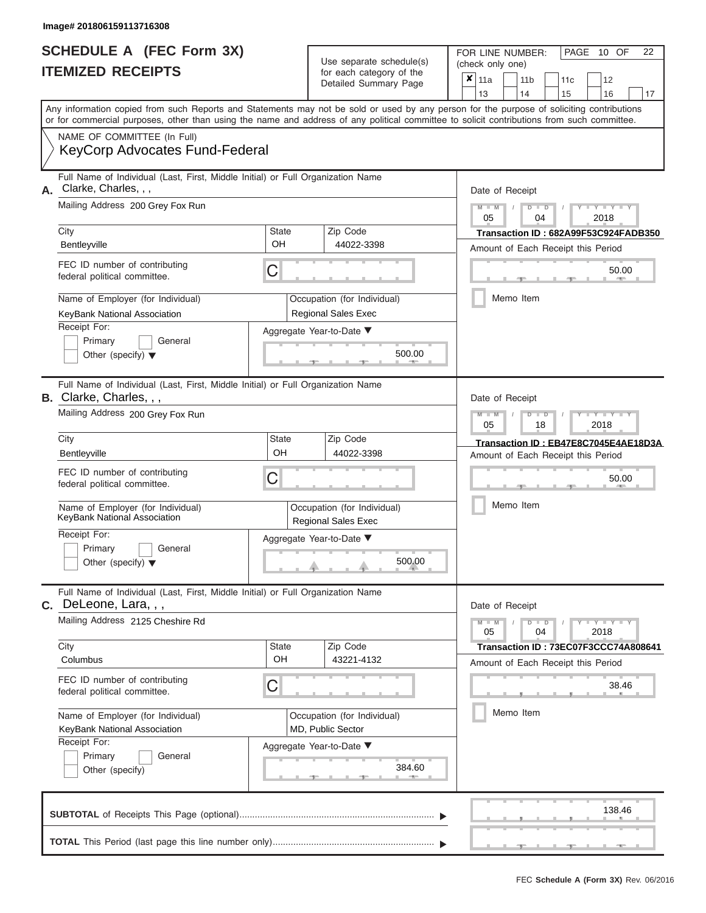|                          | <b>SCHEDULE A (FEC Form 3X)</b> |
|--------------------------|---------------------------------|
| <b>ITEMIZED RECEIPTS</b> |                                 |

FOR LINE NUMBER:<br>(check only one) Use separate schedule(s)<br>for each category of the<br>Detailed Summary Page Detailed Summary Page 11a 11b 11c<sup>12</sup> ✘

|    |                                                                                                                                                                                                                                                                                         |                                                                    | Delalleu Juliillialy Faye                                 | 13<br>15<br>16<br>14<br>17                            |  |  |  |  |
|----|-----------------------------------------------------------------------------------------------------------------------------------------------------------------------------------------------------------------------------------------------------------------------------------------|--------------------------------------------------------------------|-----------------------------------------------------------|-------------------------------------------------------|--|--|--|--|
|    | Any information copied from such Reports and Statements may not be sold or used by any person for the purpose of soliciting contributions<br>or for commercial purposes, other than using the name and address of any political committee to solicit contributions from such committee. |                                                                    |                                                           |                                                       |  |  |  |  |
|    | NAME OF COMMITTEE (In Full)<br>KeyCorp Advocates Fund-Federal                                                                                                                                                                                                                           |                                                                    |                                                           |                                                       |  |  |  |  |
| А. | Full Name of Individual (Last, First, Middle Initial) or Full Organization Name<br>Clarke, Charles, , ,                                                                                                                                                                                 |                                                                    |                                                           | Date of Receipt                                       |  |  |  |  |
|    | Mailing Address 200 Grey Fox Run                                                                                                                                                                                                                                                        | $M - M$<br>$Y - Y - Y$<br>$D$ $D$<br>05<br>04<br>2018              |                                                           |                                                       |  |  |  |  |
|    | City                                                                                                                                                                                                                                                                                    | <b>State</b>                                                       | Zip Code                                                  | Transaction ID: 682A99F53C924FADB350                  |  |  |  |  |
|    | Bentleyville                                                                                                                                                                                                                                                                            | OH                                                                 | 44022-3398                                                | Amount of Each Receipt this Period                    |  |  |  |  |
|    | FEC ID number of contributing<br>federal political committee.                                                                                                                                                                                                                           | C                                                                  |                                                           | 50.00                                                 |  |  |  |  |
|    | Name of Employer (for Individual)                                                                                                                                                                                                                                                       |                                                                    | Occupation (for Individual)                               | Memo Item                                             |  |  |  |  |
|    | KeyBank National Association                                                                                                                                                                                                                                                            |                                                                    | Regional Sales Exec                                       |                                                       |  |  |  |  |
|    | Receipt For:                                                                                                                                                                                                                                                                            |                                                                    | Aggregate Year-to-Date ▼                                  |                                                       |  |  |  |  |
|    | Primary<br>General                                                                                                                                                                                                                                                                      |                                                                    |                                                           |                                                       |  |  |  |  |
|    | Other (specify) $\blacktriangledown$                                                                                                                                                                                                                                                    |                                                                    | 500.00                                                    |                                                       |  |  |  |  |
|    | Full Name of Individual (Last, First, Middle Initial) or Full Organization Name<br><b>B.</b> Clarke, Charles, , ,                                                                                                                                                                       |                                                                    |                                                           | Date of Receipt                                       |  |  |  |  |
|    | Mailing Address 200 Grey Fox Run                                                                                                                                                                                                                                                        | $M - M$<br>$T - Y = Y - T Y$<br>$D$ $\Box$ $D$<br>05<br>18<br>2018 |                                                           |                                                       |  |  |  |  |
|    | City                                                                                                                                                                                                                                                                                    | <b>State</b>                                                       | Zip Code                                                  | Transaction ID: EB47E8C7045E4AE18D3A                  |  |  |  |  |
|    | Bentleyville                                                                                                                                                                                                                                                                            | OH                                                                 | 44022-3398                                                | Amount of Each Receipt this Period                    |  |  |  |  |
|    | FEC ID number of contributing<br>federal political committee.                                                                                                                                                                                                                           | 50.00                                                              |                                                           |                                                       |  |  |  |  |
|    | Name of Employer (for Individual)<br>KeyBank National Association                                                                                                                                                                                                                       |                                                                    | Occupation (for Individual)<br><b>Regional Sales Exec</b> | Memo Item                                             |  |  |  |  |
|    | Receipt For:                                                                                                                                                                                                                                                                            |                                                                    | Aggregate Year-to-Date ▼                                  |                                                       |  |  |  |  |
|    | Primary<br>General<br>Other (specify) $\blacktriangledown$                                                                                                                                                                                                                              |                                                                    | 500.00                                                    |                                                       |  |  |  |  |
|    |                                                                                                                                                                                                                                                                                         |                                                                    |                                                           |                                                       |  |  |  |  |
|    | Full Name of Individual (Last, First, Middle Initial) or Full Organization Name<br>DeLeone, Lara, , ,                                                                                                                                                                                   |                                                                    |                                                           | Date of Receipt                                       |  |  |  |  |
|    | Mailing Address 2125 Cheshire Rd                                                                                                                                                                                                                                                        |                                                                    |                                                           | $Y - Y - Y$<br>$M - M$<br>$D$ $D$<br>05<br>04<br>2018 |  |  |  |  |
|    | City                                                                                                                                                                                                                                                                                    | <b>State</b>                                                       | Zip Code                                                  | <b>Transaction ID : 73EC07F3CCC74A808641</b>          |  |  |  |  |
|    | Columbus                                                                                                                                                                                                                                                                                | OH                                                                 | 43221-4132                                                | Amount of Each Receipt this Period                    |  |  |  |  |
|    | FEC ID number of contributing<br>federal political committee.                                                                                                                                                                                                                           | C                                                                  |                                                           | 38.46                                                 |  |  |  |  |
|    | Name of Employer (for Individual)                                                                                                                                                                                                                                                       |                                                                    | Occupation (for Individual)                               | Memo Item                                             |  |  |  |  |
|    | KeyBank National Association                                                                                                                                                                                                                                                            |                                                                    | MD, Public Sector                                         |                                                       |  |  |  |  |
|    | Receipt For:                                                                                                                                                                                                                                                                            |                                                                    | Aggregate Year-to-Date ▼                                  |                                                       |  |  |  |  |
|    | Primary<br>General<br>Other (specify)                                                                                                                                                                                                                                                   |                                                                    | 384.60<br>$-$ 400 $-$                                     |                                                       |  |  |  |  |
|    |                                                                                                                                                                                                                                                                                         |                                                                    |                                                           | 138.46                                                |  |  |  |  |

FEC **Schedule A (Form 3X)** Rev. 06/2016

 ▲ ▲ ▲ , , .

PAGE 10 OF 22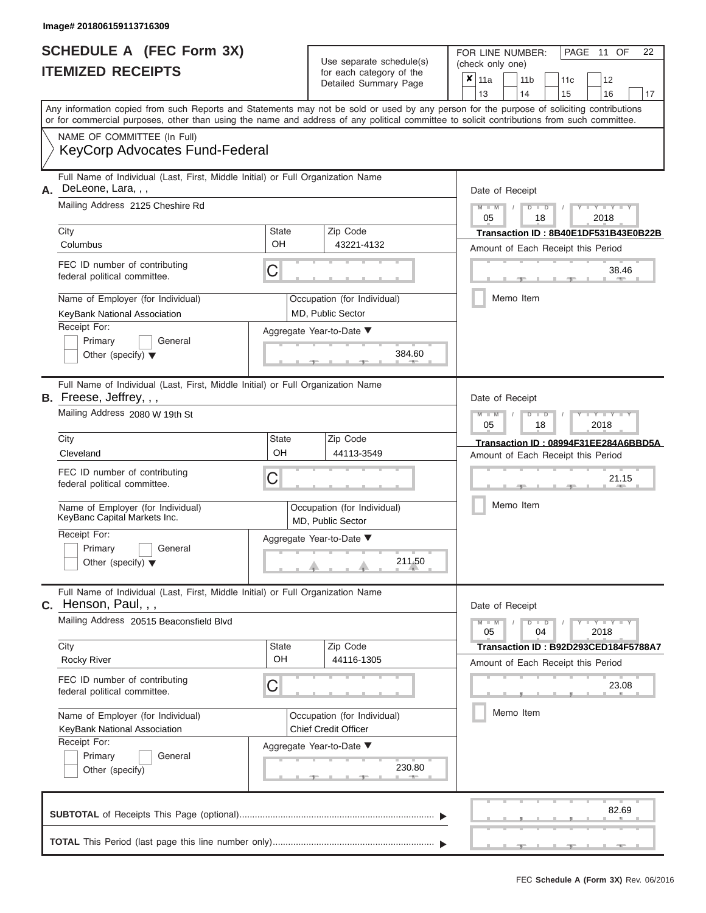|                          | SCHEDULE A (FEC Form 3X) |
|--------------------------|--------------------------|
| <b>ITEMIZED RECEIPTS</b> |                          |

FOR LINE NUMBER:<br>(check only one) Use separate schedule(s)<br>for each category of the

|                                                                                                                                                                                                                                                                                         |                                                  | $\frac{1}{2}$<br>Detailed Summary Page           | × | 11a                                                      |           | 11 b          | 11 <sub>c</sub>                    | 12                                   |    |  |  |  |
|-----------------------------------------------------------------------------------------------------------------------------------------------------------------------------------------------------------------------------------------------------------------------------------------|--------------------------------------------------|--------------------------------------------------|---|----------------------------------------------------------|-----------|---------------|------------------------------------|--------------------------------------|----|--|--|--|
|                                                                                                                                                                                                                                                                                         |                                                  |                                                  |   | 13                                                       |           | 14            | 15                                 | 16                                   | 17 |  |  |  |
| Any information copied from such Reports and Statements may not be sold or used by any person for the purpose of soliciting contributions<br>or for commercial purposes, other than using the name and address of any political committee to solicit contributions from such committee. |                                                  |                                                  |   |                                                          |           |               |                                    |                                      |    |  |  |  |
| NAME OF COMMITTEE (In Full)                                                                                                                                                                                                                                                             |                                                  |                                                  |   |                                                          |           |               |                                    |                                      |    |  |  |  |
| <b>KeyCorp Advocates Fund-Federal</b>                                                                                                                                                                                                                                                   |                                                  |                                                  |   |                                                          |           |               |                                    |                                      |    |  |  |  |
| Full Name of Individual (Last, First, Middle Initial) or Full Organization Name<br>DeLeone, Lara, , ,                                                                                                                                                                                   |                                                  |                                                  |   | Date of Receipt                                          |           |               |                                    |                                      |    |  |  |  |
| Mailing Address 2125 Cheshire Rd                                                                                                                                                                                                                                                        |                                                  |                                                  |   | $M - M$<br>$Y = Y = Y$<br>$D$ $D$<br>2018<br>05<br>18    |           |               |                                    |                                      |    |  |  |  |
| City                                                                                                                                                                                                                                                                                    | <b>State</b>                                     | Zip Code                                         |   |                                                          |           |               |                                    | Transaction ID: 8B40E1DF531B43E0B22B |    |  |  |  |
| Columbus                                                                                                                                                                                                                                                                                | OH                                               | 43221-4132                                       |   | Amount of Each Receipt this Period                       |           |               |                                    |                                      |    |  |  |  |
| FEC ID number of contributing<br>federal political committee.                                                                                                                                                                                                                           |                                                  | 38.46                                            |   |                                                          |           |               |                                    |                                      |    |  |  |  |
| Name of Employer (for Individual)<br>KeyBank National Association                                                                                                                                                                                                                       | Occupation (for Individual)<br>MD, Public Sector |                                                  |   |                                                          | Memo Item |               |                                    |                                      |    |  |  |  |
| Receipt For:                                                                                                                                                                                                                                                                            |                                                  | Aggregate Year-to-Date ▼                         |   |                                                          |           |               |                                    |                                      |    |  |  |  |
| Primary<br>General                                                                                                                                                                                                                                                                      |                                                  |                                                  |   |                                                          |           |               |                                    |                                      |    |  |  |  |
| Other (specify) $\blacktriangledown$                                                                                                                                                                                                                                                    |                                                  | 384.60                                           |   |                                                          |           |               |                                    |                                      |    |  |  |  |
| Full Name of Individual (Last, First, Middle Initial) or Full Organization Name<br>B. Freese, Jeffrey, , ,                                                                                                                                                                              |                                                  |                                                  |   | Date of Receipt                                          |           |               |                                    |                                      |    |  |  |  |
| Mailing Address 2080 W 19th St                                                                                                                                                                                                                                                          |                                                  |                                                  |   | $M - M$                                                  |           | D<br>$\Box$   |                                    | Y Y Y                                |    |  |  |  |
|                                                                                                                                                                                                                                                                                         |                                                  |                                                  |   | 05<br>18<br>2018<br>Transaction ID: 08994F31EE284A6BBD5A |           |               |                                    |                                      |    |  |  |  |
| City                                                                                                                                                                                                                                                                                    | State                                            | Zip Code                                         |   |                                                          |           |               |                                    |                                      |    |  |  |  |
| Cleveland                                                                                                                                                                                                                                                                               | OH                                               | 44113-3549                                       |   |                                                          |           |               | Amount of Each Receipt this Period |                                      |    |  |  |  |
| FEC ID number of contributing<br>federal political committee.                                                                                                                                                                                                                           | C                                                |                                                  |   | 21.15                                                    |           |               |                                    |                                      |    |  |  |  |
| Name of Employer (for Individual)<br>KeyBanc Capital Markets Inc.                                                                                                                                                                                                                       |                                                  | Occupation (for Individual)<br>MD, Public Sector |   | Memo Item                                                |           |               |                                    |                                      |    |  |  |  |
| Receipt For:                                                                                                                                                                                                                                                                            |                                                  | Aggregate Year-to-Date ▼                         |   |                                                          |           |               |                                    |                                      |    |  |  |  |
| Primary<br>General<br>Other (specify) $\blacktriangledown$                                                                                                                                                                                                                              |                                                  | 211.50                                           |   |                                                          |           |               |                                    |                                      |    |  |  |  |
| Full Name of Individual (Last, First, Middle Initial) or Full Organization Name<br>Henson, Paul, , ,<br>C.                                                                                                                                                                              |                                                  |                                                  |   | Date of Receipt                                          |           |               |                                    |                                      |    |  |  |  |
| Mailing Address 20515 Beaconsfield Blvd                                                                                                                                                                                                                                                 |                                                  |                                                  |   | $M - M$<br>05                                            |           | $D$ $D$<br>04 |                                    | $Y - Y - Y - Y - Y$<br>2018          |    |  |  |  |
| City                                                                                                                                                                                                                                                                                    | <b>State</b>                                     | Zip Code                                         |   |                                                          |           |               |                                    | Transaction ID: B92D293CED184F5788A7 |    |  |  |  |
| <b>Rocky River</b>                                                                                                                                                                                                                                                                      | OH                                               | 44116-1305                                       |   |                                                          |           |               |                                    | Amount of Each Receipt this Period   |    |  |  |  |
| FEC ID number of contributing<br>federal political committee.                                                                                                                                                                                                                           | C                                                |                                                  |   |                                                          |           |               |                                    | 23.08                                |    |  |  |  |
| Name of Employer (for Individual)                                                                                                                                                                                                                                                       |                                                  | Occupation (for Individual)                      |   |                                                          |           | Memo Item     |                                    |                                      |    |  |  |  |
| KeyBank National Association                                                                                                                                                                                                                                                            |                                                  | <b>Chief Credit Officer</b>                      |   |                                                          |           |               |                                    |                                      |    |  |  |  |
| Receipt For:                                                                                                                                                                                                                                                                            |                                                  | Aggregate Year-to-Date ▼                         |   |                                                          |           |               |                                    |                                      |    |  |  |  |
| Primary<br>General                                                                                                                                                                                                                                                                      |                                                  |                                                  |   |                                                          |           |               |                                    |                                      |    |  |  |  |
| Other (specify)                                                                                                                                                                                                                                                                         |                                                  | 230.80                                           |   |                                                          |           |               |                                    |                                      |    |  |  |  |
|                                                                                                                                                                                                                                                                                         |                                                  |                                                  |   |                                                          |           |               |                                    | 82.69                                |    |  |  |  |
|                                                                                                                                                                                                                                                                                         |                                                  |                                                  |   |                                                          |           |               |                                    |                                      |    |  |  |  |

PAGE 11 OF 22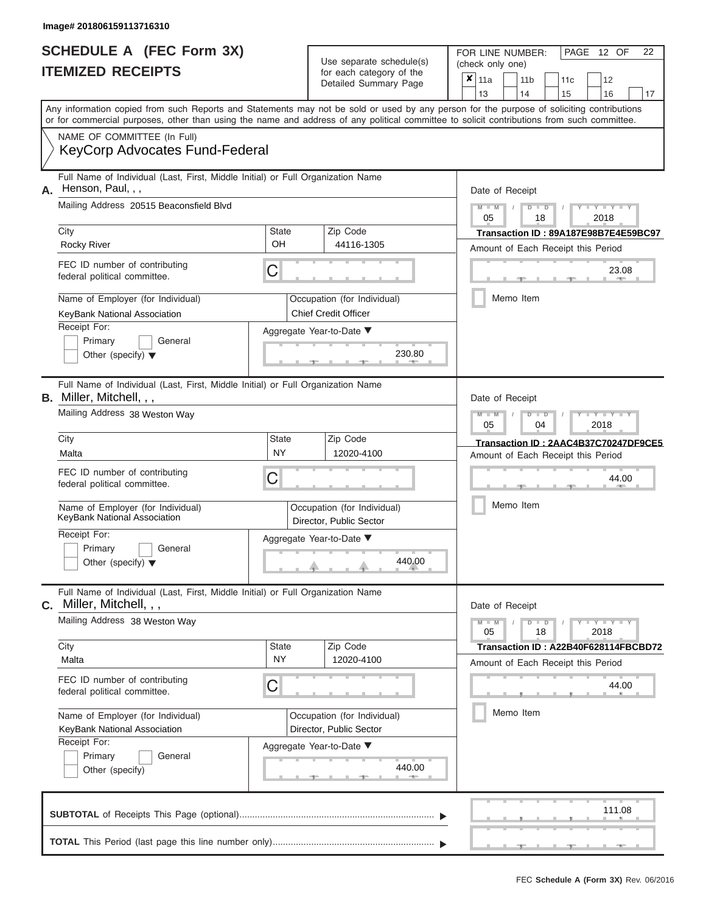|                          | <b>SCHEDULE A (FEC Form 3X)</b> |
|--------------------------|---------------------------------|
| <b>ITEMIZED RECEIPTS</b> |                                 |

FOR LINE NUMBER:<br>(check only one) Use separate schedule(s)<br>for each category of the<br>Detailed Summary Page Detailed Summary Page 11a 11b 11c<sup>12</sup> ✘

|    |                                                                                                                                                                                                                                                                                         |                                                        |        | Delalleu Juliillialy Faye   |       | 13                                                                         | 14                                 |               | 15 | 16                      | 17                                   |  |  |  |
|----|-----------------------------------------------------------------------------------------------------------------------------------------------------------------------------------------------------------------------------------------------------------------------------------------|--------------------------------------------------------|--------|-----------------------------|-------|----------------------------------------------------------------------------|------------------------------------|---------------|----|-------------------------|--------------------------------------|--|--|--|
|    | Any information copied from such Reports and Statements may not be sold or used by any person for the purpose of soliciting contributions<br>or for commercial purposes, other than using the name and address of any political committee to solicit contributions from such committee. |                                                        |        |                             |       |                                                                            |                                    |               |    |                         |                                      |  |  |  |
|    | NAME OF COMMITTEE (In Full)<br><b>KeyCorp Advocates Fund-Federal</b>                                                                                                                                                                                                                    |                                                        |        |                             |       |                                                                            |                                    |               |    |                         |                                      |  |  |  |
| Α. | Full Name of Individual (Last, First, Middle Initial) or Full Organization Name<br>Henson, Paul, , ,                                                                                                                                                                                    |                                                        |        |                             |       |                                                                            | Date of Receipt                    |               |    |                         |                                      |  |  |  |
|    | Mailing Address 20515 Beaconsfield Blvd                                                                                                                                                                                                                                                 |                                                        |        |                             |       | $M - M$<br>05                                                              |                                    | $D$ $D$<br>18 |    | $Y = Y = Y$<br>2018     |                                      |  |  |  |
|    | City                                                                                                                                                                                                                                                                                    | <b>State</b><br>Zip Code                               |        |                             |       |                                                                            |                                    |               |    |                         |                                      |  |  |  |
|    | <b>Rocky River</b>                                                                                                                                                                                                                                                                      | OH                                                     |        | 44116-1305                  |       | Transaction ID: 89A187E98B7E4E59BC97<br>Amount of Each Receipt this Period |                                    |               |    |                         |                                      |  |  |  |
|    | FEC ID number of contributing<br>federal political committee.                                                                                                                                                                                                                           | С                                                      |        |                             | 23.08 |                                                                            |                                    |               |    |                         |                                      |  |  |  |
|    | Name of Employer (for Individual)                                                                                                                                                                                                                                                       |                                                        |        | Occupation (for Individual) |       |                                                                            | Memo Item                          |               |    |                         |                                      |  |  |  |
|    | KeyBank National Association                                                                                                                                                                                                                                                            |                                                        |        | <b>Chief Credit Officer</b> |       |                                                                            |                                    |               |    |                         |                                      |  |  |  |
|    | Receipt For:                                                                                                                                                                                                                                                                            | Aggregate Year-to-Date ▼                               |        |                             |       |                                                                            |                                    |               |    |                         |                                      |  |  |  |
|    | Primary<br>General                                                                                                                                                                                                                                                                      |                                                        |        |                             |       |                                                                            |                                    |               |    |                         |                                      |  |  |  |
|    | Other (specify) $\blacktriangledown$                                                                                                                                                                                                                                                    |                                                        |        | 230.80                      |       |                                                                            |                                    |               |    |                         |                                      |  |  |  |
|    | Full Name of Individual (Last, First, Middle Initial) or Full Organization Name<br><b>B.</b> Miller, Mitchell, , ,                                                                                                                                                                      |                                                        |        |                             |       |                                                                            | Date of Receipt                    |               |    |                         |                                      |  |  |  |
|    | Mailing Address 38 Weston Way                                                                                                                                                                                                                                                           |                                                        |        |                             |       |                                                                            |                                    | $D$ $D$<br>04 |    | $T - Y = T - Y$<br>2018 |                                      |  |  |  |
|    | City                                                                                                                                                                                                                                                                                    | <b>State</b>                                           |        | Zip Code                    |       |                                                                            |                                    |               |    |                         | Transaction ID: 2AAC4B37C70247DF9CE5 |  |  |  |
|    | Malta                                                                                                                                                                                                                                                                                   | NY                                                     |        | 12020-4100                  |       |                                                                            | Amount of Each Receipt this Period |               |    |                         |                                      |  |  |  |
|    | FEC ID number of contributing<br>С<br>federal political committee.                                                                                                                                                                                                                      |                                                        |        |                             |       |                                                                            | 44.00                              |               |    |                         |                                      |  |  |  |
|    | Name of Employer (for Individual)<br>KeyBank National Association                                                                                                                                                                                                                       | Occupation (for Individual)<br>Director, Public Sector |        |                             |       |                                                                            | Memo Item                          |               |    |                         |                                      |  |  |  |
|    | Receipt For:                                                                                                                                                                                                                                                                            |                                                        |        | Aggregate Year-to-Date ▼    |       |                                                                            |                                    |               |    |                         |                                      |  |  |  |
|    | Primary<br>General                                                                                                                                                                                                                                                                      |                                                        |        |                             |       |                                                                            |                                    |               |    |                         |                                      |  |  |  |
|    | Other (specify) $\blacktriangledown$                                                                                                                                                                                                                                                    |                                                        | 440.00 |                             |       |                                                                            |                                    |               |    |                         |                                      |  |  |  |
|    | Full Name of Individual (Last, First, Middle Initial) or Full Organization Name<br>Miller, Mitchell, , ,                                                                                                                                                                                |                                                        |        |                             |       |                                                                            | Date of Receipt                    |               |    |                         |                                      |  |  |  |
|    | Mailing Address 38 Weston Way                                                                                                                                                                                                                                                           |                                                        |        |                             |       | $M - M$<br>05                                                              |                                    | $D$ $D$<br>18 |    | $Y = Y = Y$<br>2018     |                                      |  |  |  |
|    | City                                                                                                                                                                                                                                                                                    | <b>State</b>                                           |        | Zip Code                    |       |                                                                            |                                    |               |    |                         | Transaction ID: A22B40F628114FBCBD72 |  |  |  |
|    | Malta                                                                                                                                                                                                                                                                                   | <b>NY</b>                                              |        | 12020-4100                  |       |                                                                            | Amount of Each Receipt this Period |               |    |                         |                                      |  |  |  |
|    | FEC ID number of contributing<br>federal political committee.                                                                                                                                                                                                                           | С                                                      |        |                             |       |                                                                            |                                    |               |    | 44.00                   |                                      |  |  |  |
|    | Name of Employer (for Individual)                                                                                                                                                                                                                                                       |                                                        |        | Occupation (for Individual) |       |                                                                            | Memo Item                          |               |    |                         |                                      |  |  |  |
|    | KeyBank National Association                                                                                                                                                                                                                                                            |                                                        |        | Director, Public Sector     |       |                                                                            |                                    |               |    |                         |                                      |  |  |  |
|    | Receipt For:                                                                                                                                                                                                                                                                            |                                                        |        | Aggregate Year-to-Date ▼    |       |                                                                            |                                    |               |    |                         |                                      |  |  |  |
|    | Primary<br>General<br>Other (specify)                                                                                                                                                                                                                                                   |                                                        |        | 440.00<br><b>Britannia</b>  |       |                                                                            |                                    |               |    |                         |                                      |  |  |  |
|    |                                                                                                                                                                                                                                                                                         |                                                        |        |                             |       |                                                                            |                                    |               |    | 111.08                  |                                      |  |  |  |

PAGE 12 OF 22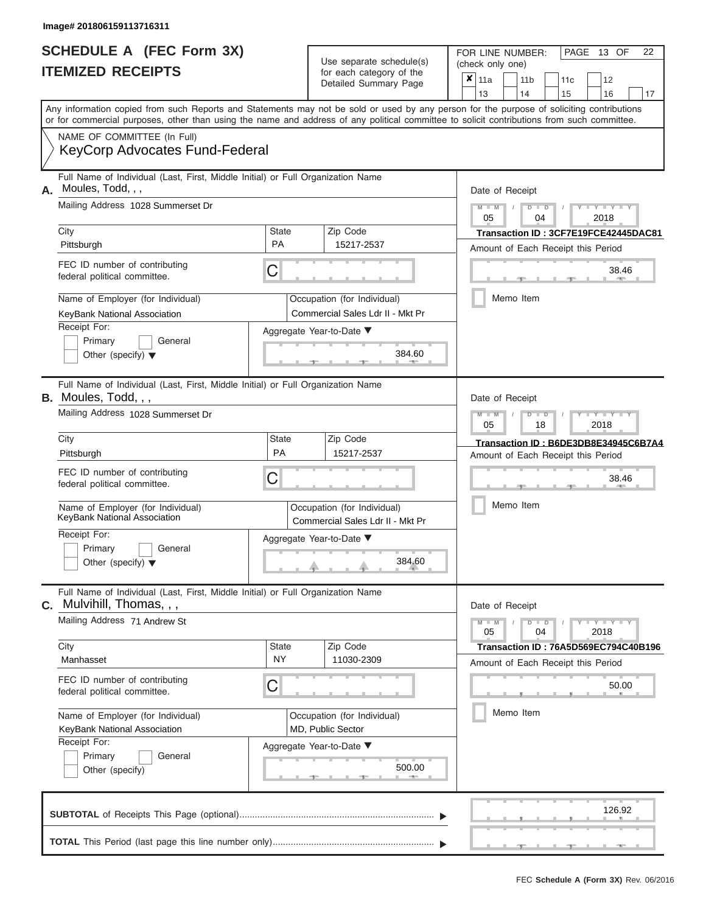|                          | <b>SCHEDULE A (FEC Form 3X)</b> |
|--------------------------|---------------------------------|
| <b>ITEMIZED RECEIPTS</b> |                                 |

FOR LINE NUMBER:<br>(check only one) Use separate schedule(s) (check only one) for each category of the

|    | <b>ILEMIZED RECEIPIS</b>                                                                                                                                                                                                                                                                |                                                  |  | for each category of the<br>Detailed Summary Page                                                     |           | ×<br>11a<br>13                                                               |           |  | 11 b<br>14 |         | 11c<br>15                          |      | 12<br>16    | 17                                   |
|----|-----------------------------------------------------------------------------------------------------------------------------------------------------------------------------------------------------------------------------------------------------------------------------------------|--------------------------------------------------|--|-------------------------------------------------------------------------------------------------------|-----------|------------------------------------------------------------------------------|-----------|--|------------|---------|------------------------------------|------|-------------|--------------------------------------|
|    | Any information copied from such Reports and Statements may not be sold or used by any person for the purpose of soliciting contributions<br>or for commercial purposes, other than using the name and address of any political committee to solicit contributions from such committee. |                                                  |  |                                                                                                       |           |                                                                              |           |  |            |         |                                    |      |             |                                      |
|    | NAME OF COMMITTEE (In Full)<br><b>KeyCorp Advocates Fund-Federal</b>                                                                                                                                                                                                                    |                                                  |  |                                                                                                       |           |                                                                              |           |  |            |         |                                    |      |             |                                      |
| А. | Full Name of Individual (Last, First, Middle Initial) or Full Organization Name<br>Moules, Todd, , ,                                                                                                                                                                                    |                                                  |  |                                                                                                       |           | Date of Receipt                                                              |           |  |            |         |                                    |      |             |                                      |
|    | Mailing Address 1028 Summerset Dr                                                                                                                                                                                                                                                       |                                                  |  |                                                                                                       |           | $M - M$<br>05                                                                |           |  | D          | D<br>04 |                                    | 2018 | $Y = Y = Y$ |                                      |
|    | City<br>Pittsburgh                                                                                                                                                                                                                                                                      | <b>State</b><br>PA                               |  | Zip Code<br>15217-2537                                                                                |           | Transaction ID: 3CF7E19FCE42445DAC81<br>Amount of Each Receipt this Period   |           |  |            |         |                                    |      |             |                                      |
|    | FEC ID number of contributing<br>federal political committee.                                                                                                                                                                                                                           | C                                                |  |                                                                                                       |           |                                                                              |           |  |            |         |                                    |      | 38.46       |                                      |
|    | Name of Employer (for Individual)<br>KeyBank National Association<br>Receipt For:<br>Primary<br>General<br>Other (specify) $\blacktriangledown$                                                                                                                                         |                                                  |  | Occupation (for Individual)<br>Commercial Sales Ldr II - Mkt Pr<br>Aggregate Year-to-Date ▼<br>384.60 |           |                                                                              | Memo Item |  |            |         |                                    |      |             |                                      |
|    | Full Name of Individual (Last, First, Middle Initial) or Full Organization Name<br><b>B.</b> Moules, Todd, , ,<br>Mailing Address 1028 Summerset Dr                                                                                                                                     |                                                  |  |                                                                                                       |           | Date of Receipt                                                              |           |  |            | $\Box$  |                                    |      |             |                                      |
|    | City                                                                                                                                                                                                                                                                                    | State                                            |  | Zip Code                                                                                              |           | <b>LEYTHY LE</b><br>05<br>18<br>2018<br>Transaction ID: B6DE3DB8E34945C6B7A4 |           |  |            |         |                                    |      |             |                                      |
|    | Pittsburgh                                                                                                                                                                                                                                                                              | <b>PA</b>                                        |  | 15217-2537                                                                                            |           |                                                                              |           |  |            |         | Amount of Each Receipt this Period |      |             |                                      |
|    | FEC ID number of contributing<br>C<br>federal political committee.                                                                                                                                                                                                                      |                                                  |  |                                                                                                       |           |                                                                              | 38.46     |  |            |         |                                    |      |             |                                      |
|    | Name of Employer (for Individual)<br>KeyBank National Association                                                                                                                                                                                                                       |                                                  |  | Occupation (for Individual)<br>Commercial Sales Ldr II - Mkt Pr                                       |           |                                                                              |           |  | Memo Item  |         |                                    |      |             |                                      |
|    | Receipt For:<br>Primary<br>General<br>Other (specify) $\blacktriangledown$                                                                                                                                                                                                              | Aggregate Year-to-Date ▼<br>384.60               |  |                                                                                                       |           |                                                                              |           |  |            |         |                                    |      |             |                                      |
|    | Full Name of Individual (Last, First, Middle Initial) or Full Organization Name<br><b>C.</b> Mulvihill, Thomas, , ,                                                                                                                                                                     |                                                  |  |                                                                                                       |           | Date of Receipt                                                              |           |  |            |         |                                    |      |             |                                      |
|    | Mailing Address 71 Andrew St                                                                                                                                                                                                                                                            |                                                  |  |                                                                                                       |           | $Y = Y = Y$<br>$\overline{D}$<br>$\blacksquare$<br>04<br>2018<br>05          |           |  |            |         |                                    |      |             |                                      |
|    | City<br>Manhasset                                                                                                                                                                                                                                                                       | State<br>ΝY                                      |  | Zip Code<br>11030-2309                                                                                |           |                                                                              |           |  |            |         | Amount of Each Receipt this Period |      |             | Transaction ID: 76A5D569EC794C40B196 |
|    | FEC ID number of contributing<br>federal political committee.                                                                                                                                                                                                                           | C                                                |  |                                                                                                       |           |                                                                              |           |  |            |         |                                    |      | 50.00       |                                      |
|    | Name of Employer (for Individual)<br>KeyBank National Association                                                                                                                                                                                                                       | Occupation (for Individual)<br>MD, Public Sector |  |                                                                                                       | Memo Item |                                                                              |           |  |            |         |                                    |      |             |                                      |
|    | Receipt For:<br>Primary<br>General<br>Other (specify)                                                                                                                                                                                                                                   |                                                  |  | Aggregate Year-to-Date ▼<br>500.00                                                                    |           |                                                                              |           |  |            |         |                                    |      |             |                                      |
|    |                                                                                                                                                                                                                                                                                         |                                                  |  |                                                                                                       |           |                                                                              |           |  |            |         |                                    |      | 126.92      |                                      |
|    |                                                                                                                                                                                                                                                                                         |                                                  |  |                                                                                                       |           |                                                                              |           |  |            |         |                                    |      |             |                                      |

FEC **Schedule A (Form 3X)** Rev. 06/2016

PAGE 13 OF 22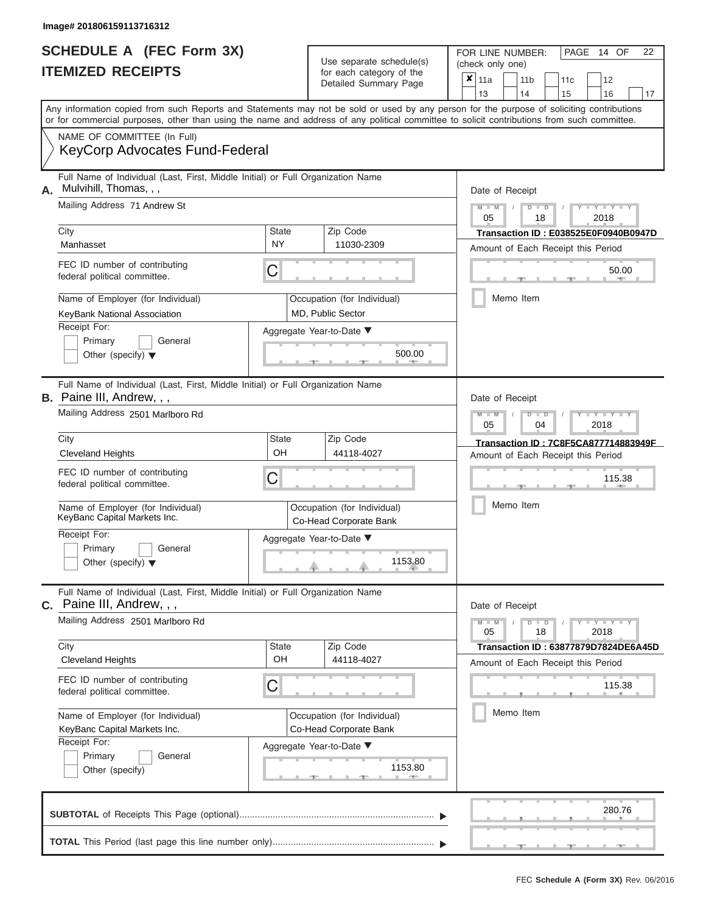#### **Image# 201806159113716312**

|                          | <b>SCHEDULE A (FEC Form 3X)</b> |
|--------------------------|---------------------------------|
| <b>ITEMIZED RECEIPTS</b> |                                 |

FOR LINE NUMBER:<br>(check only one) Use separate schedule(s) for each category of the

|                                   |                                                                                                                                            |                           | $\frac{1}{2}$<br>Detailed Summary Page                | x     | 11a                                                     |  | 11 <sub>b</sub> | 11c | 12                                   |                                      |  |  |  |  |
|-----------------------------------|--------------------------------------------------------------------------------------------------------------------------------------------|---------------------------|-------------------------------------------------------|-------|---------------------------------------------------------|--|-----------------|-----|--------------------------------------|--------------------------------------|--|--|--|--|
|                                   | Any information copied from such Reports and Statements may not be sold or used by any person for the purpose of soliciting contributions  |                           |                                                       |       | 13                                                      |  | 14              | 15  | 16                                   | 17                                   |  |  |  |  |
|                                   | or for commercial purposes, other than using the name and address of any political committee to solicit contributions from such committee. |                           |                                                       |       |                                                         |  |                 |     |                                      |                                      |  |  |  |  |
|                                   | NAME OF COMMITTEE (In Full)                                                                                                                |                           |                                                       |       |                                                         |  |                 |     |                                      |                                      |  |  |  |  |
|                                   | <b>KeyCorp Advocates Fund-Federal</b>                                                                                                      |                           |                                                       |       |                                                         |  |                 |     |                                      |                                      |  |  |  |  |
| А.                                | Full Name of Individual (Last, First, Middle Initial) or Full Organization Name<br>Mulvihill, Thomas, , ,                                  |                           |                                                       |       |                                                         |  |                 |     |                                      |                                      |  |  |  |  |
|                                   | Mailing Address 71 Andrew St                                                                                                               |                           |                                                       |       | Date of Receipt                                         |  |                 |     |                                      |                                      |  |  |  |  |
|                                   |                                                                                                                                            |                           |                                                       |       | $M = M$ /<br>$D$ $D$<br>$Y - Y - Y$<br>2018<br>05<br>18 |  |                 |     |                                      |                                      |  |  |  |  |
|                                   | City                                                                                                                                       | <b>State</b><br><b>NY</b> | Zip Code                                              |       | Transaction ID: E038525E0F0940B0947D                    |  |                 |     |                                      |                                      |  |  |  |  |
|                                   | Manhasset                                                                                                                                  |                           | 11030-2309                                            |       | Amount of Each Receipt this Period                      |  |                 |     |                                      |                                      |  |  |  |  |
|                                   | FEC ID number of contributing<br>federal political committee.                                                                              | С                         |                                                       | 50.00 |                                                         |  |                 |     |                                      |                                      |  |  |  |  |
| Name of Employer (for Individual) |                                                                                                                                            |                           | Occupation (for Individual)                           |       |                                                         |  | Memo Item       |     |                                      |                                      |  |  |  |  |
|                                   | KeyBank National Association                                                                                                               |                           | MD, Public Sector                                     |       |                                                         |  |                 |     |                                      |                                      |  |  |  |  |
|                                   | Receipt For:<br>Primary<br>General                                                                                                         |                           | Aggregate Year-to-Date ▼                              |       |                                                         |  |                 |     |                                      |                                      |  |  |  |  |
|                                   | Other (specify) $\blacktriangledown$                                                                                                       |                           | 500.00                                                |       |                                                         |  |                 |     |                                      |                                      |  |  |  |  |
|                                   | Full Name of Individual (Last, First, Middle Initial) or Full Organization Name<br><b>B.</b> Paine III, Andrew, , ,                        |                           |                                                       |       | Date of Receipt                                         |  |                 |     |                                      |                                      |  |  |  |  |
|                                   | Mailing Address 2501 Marlboro Rd                                                                                                           |                           |                                                       |       | $M - M$<br>Y TY<br>2018<br>05<br>04                     |  |                 |     |                                      |                                      |  |  |  |  |
|                                   | City                                                                                                                                       | State                     | Zip Code                                              |       |                                                         |  |                 |     | Transaction ID: 7C8F5CA877714883949F |                                      |  |  |  |  |
|                                   | <b>Cleveland Heights</b>                                                                                                                   | OH                        | 44118-4027                                            |       | Amount of Each Receipt this Period                      |  |                 |     |                                      |                                      |  |  |  |  |
|                                   | FEC ID number of contributing<br>federal political committee.                                                                              |                           | 115.38                                                |       |                                                         |  |                 |     |                                      |                                      |  |  |  |  |
|                                   | Name of Employer (for Individual)<br>KeyBanc Capital Markets Inc.                                                                          |                           | Occupation (for Individual)<br>Co-Head Corporate Bank |       | Memo Item                                               |  |                 |     |                                      |                                      |  |  |  |  |
|                                   | Receipt For:                                                                                                                               |                           | Aggregate Year-to-Date ▼                              |       |                                                         |  |                 |     |                                      |                                      |  |  |  |  |
|                                   | Primary<br>General<br>Other (specify) $\blacktriangledown$                                                                                 |                           | 1153.80                                               |       |                                                         |  |                 |     |                                      |                                      |  |  |  |  |
|                                   | Full Name of Individual (Last, First, Middle Initial) or Full Organization Name<br>C. Paine III, Andrew, , ,                               |                           |                                                       |       | Date of Receipt                                         |  |                 |     |                                      |                                      |  |  |  |  |
|                                   | Mailing Address 2501 Marlboro Rd                                                                                                           |                           |                                                       |       | $M - M$<br>05                                           |  | $D$ $D$<br>18   |     | $Y - Y - Y - Y - Y$<br>2018          |                                      |  |  |  |  |
|                                   | City<br><b>Cleveland Heights</b>                                                                                                           | State<br>OH               | Zip Code<br>44118-4027                                |       |                                                         |  |                 |     |                                      | Transaction ID: 63877879D7824DE6A45D |  |  |  |  |
|                                   |                                                                                                                                            |                           |                                                       |       |                                                         |  |                 |     | Amount of Each Receipt this Period   |                                      |  |  |  |  |
|                                   | FEC ID number of contributing<br>federal political committee.                                                                              | C                         |                                                       |       | 115.38                                                  |  |                 |     |                                      |                                      |  |  |  |  |
|                                   | Name of Employer (for Individual)                                                                                                          |                           | Occupation (for Individual)                           |       |                                                         |  | Memo Item       |     |                                      |                                      |  |  |  |  |
|                                   | KeyBanc Capital Markets Inc.<br>Receipt For:                                                                                               |                           | Co-Head Corporate Bank                                |       |                                                         |  |                 |     |                                      |                                      |  |  |  |  |
|                                   | Primary<br>General                                                                                                                         | Aggregate Year-to-Date ▼  |                                                       |       |                                                         |  |                 |     |                                      |                                      |  |  |  |  |
|                                   | Other (specify)                                                                                                                            |                           |                                                       |       |                                                         |  |                 |     |                                      |                                      |  |  |  |  |
|                                   |                                                                                                                                            |                           |                                                       |       |                                                         |  |                 |     | 280.76                               |                                      |  |  |  |  |
|                                   |                                                                                                                                            |                           |                                                       |       |                                                         |  |                 |     |                                      |                                      |  |  |  |  |

FEC **Schedule A (Form 3X)** Rev. 06/2016

PAGE 14 OF 22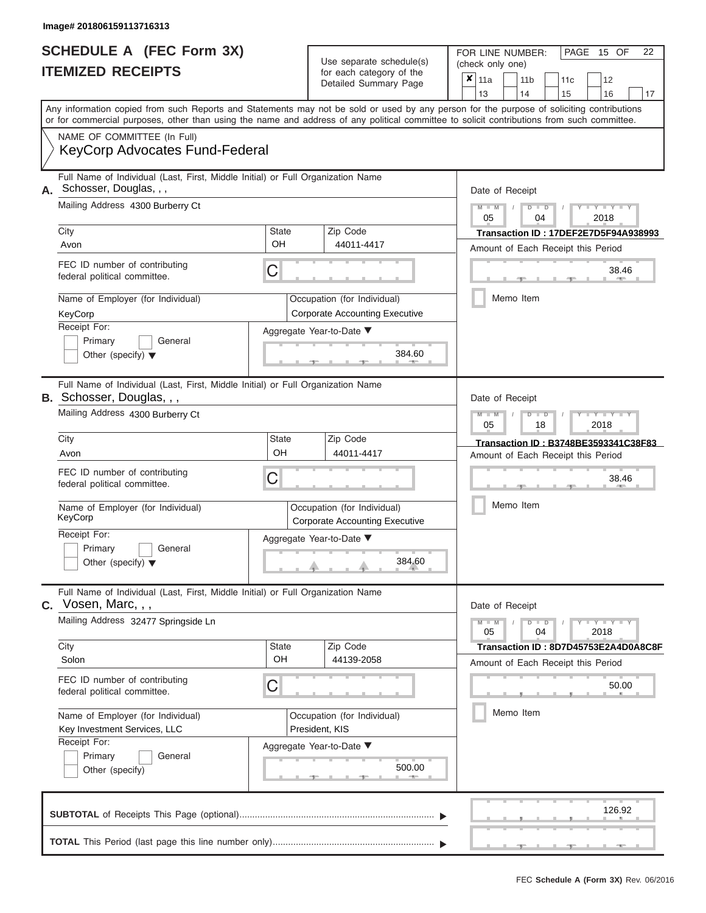#### **Image# 201806159113716313**

|                          | <b>SCHEDULE A (FEC Form 3X)</b> |
|--------------------------|---------------------------------|
| <b>ITEMIZED RECEIPTS</b> |                                 |

FOR LINE NUMBER:<br>(check only one) Use separate schedule(s)<br>for each category of the<br>Detailed Summary Page Detailed Summary Page 11a 11b 11c<sup>12</sup> ✘

|    |                                                                                                                                                                                                                                                                                         |                                                                      |  |                                       |        |  | 13              |  | 14            | 15                                   |      | 16              | 17 |
|----|-----------------------------------------------------------------------------------------------------------------------------------------------------------------------------------------------------------------------------------------------------------------------------------------|----------------------------------------------------------------------|--|---------------------------------------|--------|--|-----------------|--|---------------|--------------------------------------|------|-----------------|----|
|    | Any information copied from such Reports and Statements may not be sold or used by any person for the purpose of soliciting contributions<br>or for commercial purposes, other than using the name and address of any political committee to solicit contributions from such committee. |                                                                      |  |                                       |        |  |                 |  |               |                                      |      |                 |    |
|    | NAME OF COMMITTEE (In Full)                                                                                                                                                                                                                                                             |                                                                      |  |                                       |        |  |                 |  |               |                                      |      |                 |    |
|    | <b>KeyCorp Advocates Fund-Federal</b>                                                                                                                                                                                                                                                   |                                                                      |  |                                       |        |  |                 |  |               |                                      |      |                 |    |
| А. | Full Name of Individual (Last, First, Middle Initial) or Full Organization Name<br>Schosser, Douglas, , ,                                                                                                                                                                               |                                                                      |  |                                       |        |  | Date of Receipt |  |               |                                      |      |                 |    |
|    | Mailing Address 4300 Burberry Ct                                                                                                                                                                                                                                                        |                                                                      |  |                                       |        |  |                 |  | $D$ $D$<br>04 |                                      |      | Y L Y L<br>2018 |    |
|    | City                                                                                                                                                                                                                                                                                    | State                                                                |  | Zip Code                              |        |  | 05              |  |               | Transaction ID: 17DEF2E7D5F94A938993 |      |                 |    |
|    | Avon                                                                                                                                                                                                                                                                                    | OH                                                                   |  | 44011-4417                            |        |  |                 |  |               |                                      |      |                 |    |
|    |                                                                                                                                                                                                                                                                                         |                                                                      |  |                                       |        |  |                 |  |               | Amount of Each Receipt this Period   |      |                 |    |
|    | FEC ID number of contributing<br>federal political committee.                                                                                                                                                                                                                           | C                                                                    |  |                                       |        |  |                 |  |               |                                      |      | 38.46           |    |
|    | Name of Employer (for Individual)                                                                                                                                                                                                                                                       |                                                                      |  | Occupation (for Individual)           |        |  |                 |  | Memo Item     |                                      |      |                 |    |
|    | KeyCorp                                                                                                                                                                                                                                                                                 |                                                                      |  | <b>Corporate Accounting Executive</b> |        |  |                 |  |               |                                      |      |                 |    |
|    | Receipt For:<br>Aggregate Year-to-Date ▼                                                                                                                                                                                                                                                |                                                                      |  |                                       |        |  |                 |  |               |                                      |      |                 |    |
|    | Primary<br>General                                                                                                                                                                                                                                                                      |                                                                      |  |                                       |        |  |                 |  |               |                                      |      |                 |    |
|    | Other (specify) $\blacktriangledown$                                                                                                                                                                                                                                                    |                                                                      |  |                                       | 384.60 |  |                 |  |               |                                      |      |                 |    |
|    | Full Name of Individual (Last, First, Middle Initial) or Full Organization Name<br><b>B.</b> Schosser, Douglas, , ,                                                                                                                                                                     |                                                                      |  |                                       |        |  | Date of Receipt |  |               |                                      |      |                 |    |
|    | Mailing Address 4300 Burberry Ct                                                                                                                                                                                                                                                        |                                                                      |  |                                       |        |  |                 |  | ъ<br>$\Box$   |                                      |      | $\overline{Y}$  |    |
|    |                                                                                                                                                                                                                                                                                         |                                                                      |  |                                       |        |  |                 |  | 18            |                                      | 2018 |                 |    |
|    | City                                                                                                                                                                                                                                                                                    | <b>State</b><br>OH                                                   |  | Zip Code                              |        |  |                 |  |               | Transaction ID: B3748BE3593341C38F83 |      |                 |    |
|    | Avon                                                                                                                                                                                                                                                                                    | 44011-4417                                                           |  |                                       |        |  |                 |  |               | Amount of Each Receipt this Period   |      |                 |    |
|    | FEC ID number of contributing<br>С<br>federal political committee.                                                                                                                                                                                                                      |                                                                      |  |                                       |        |  |                 |  |               |                                      |      | 38.46           |    |
|    | Name of Employer (for Individual)<br>KeyCorp                                                                                                                                                                                                                                            | Occupation (for Individual)<br><b>Corporate Accounting Executive</b> |  |                                       |        |  |                 |  | Memo Item     |                                      |      |                 |    |
|    | Receipt For:                                                                                                                                                                                                                                                                            | Aggregate Year-to-Date ▼                                             |  |                                       |        |  |                 |  |               |                                      |      |                 |    |
|    | Primary<br>General                                                                                                                                                                                                                                                                      |                                                                      |  |                                       |        |  |                 |  |               |                                      |      |                 |    |
|    | Other (specify) $\blacktriangledown$                                                                                                                                                                                                                                                    |                                                                      |  |                                       | 384.60 |  |                 |  |               |                                      |      |                 |    |
|    | Full Name of Individual (Last, First, Middle Initial) or Full Organization Name<br>Vosen, Marc, , ,                                                                                                                                                                                     |                                                                      |  |                                       |        |  | Date of Receipt |  |               |                                      |      |                 |    |
|    | Mailing Address 32477 Springside Ln                                                                                                                                                                                                                                                     |                                                                      |  |                                       |        |  | $M - M$<br>05   |  | $D$ $D$<br>04 |                                      | 2018 | $Y - Y - Y - Y$ |    |
|    | City                                                                                                                                                                                                                                                                                    | <b>State</b>                                                         |  | Zip Code                              |        |  |                 |  |               | Transaction ID: 8D7D45753E2A4D0A8C8F |      |                 |    |
|    | Solon                                                                                                                                                                                                                                                                                   | OH                                                                   |  | 44139-2058                            |        |  |                 |  |               | Amount of Each Receipt this Period   |      |                 |    |
|    | FEC ID number of contributing<br>federal political committee.                                                                                                                                                                                                                           | C                                                                    |  |                                       |        |  |                 |  |               |                                      |      | 50.00           |    |
|    |                                                                                                                                                                                                                                                                                         |                                                                      |  |                                       |        |  |                 |  | Memo Item     |                                      |      |                 |    |
|    | Name of Employer (for Individual)                                                                                                                                                                                                                                                       | Occupation (for Individual)                                          |  |                                       |        |  |                 |  |               |                                      |      |                 |    |
|    | Key Investment Services, LLC<br>Receipt For:                                                                                                                                                                                                                                            | President, KIS                                                       |  |                                       |        |  |                 |  |               |                                      |      |                 |    |
|    | General<br>Primary                                                                                                                                                                                                                                                                      | Aggregate Year-to-Date ▼                                             |  |                                       |        |  |                 |  |               |                                      |      |                 |    |
|    | Other (specify)                                                                                                                                                                                                                                                                         |                                                                      |  |                                       | 500.00 |  |                 |  |               |                                      |      |                 |    |
|    |                                                                                                                                                                                                                                                                                         |                                                                      |  |                                       |        |  |                 |  |               |                                      |      | 126.92          |    |

FEC **Schedule A (Form 3X)** Rev. 06/2016

PAGE 15 OF 22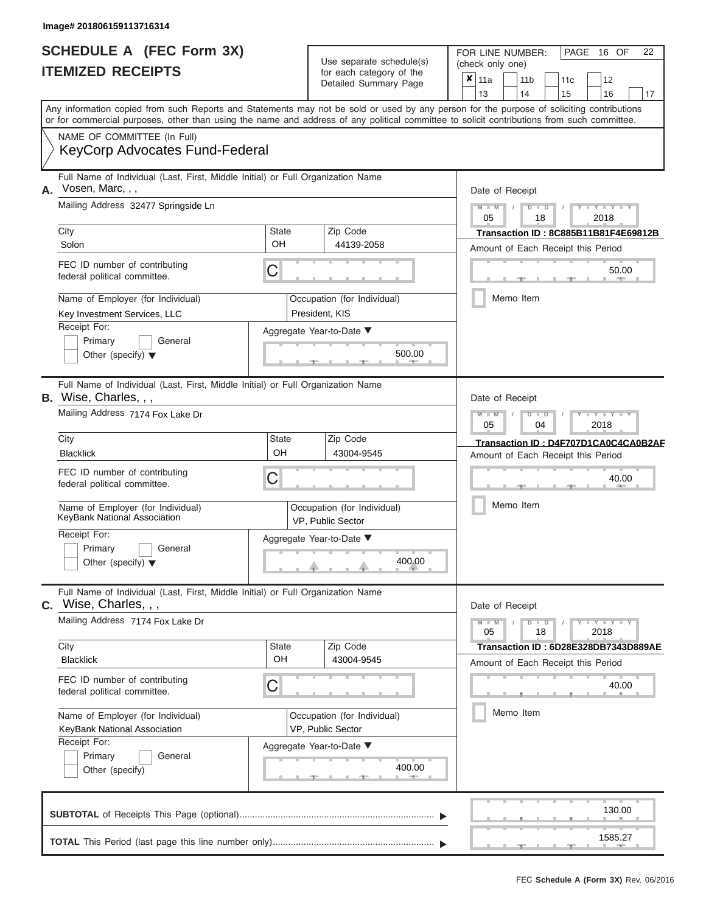|                          | <b>SCHEDULE A (FEC Form 3X)</b> |
|--------------------------|---------------------------------|
| <b>ITEMIZED RECEIPTS</b> |                                 |

FOR LINE NUMBER:<br>(check only one) Use separate schedule(s)<br>for each category of the<br>Detailed Summary Page Detailed Summary Page 11a 11b 11c<sup>12</sup> ✘

| Any information copied from such Reports and Statements may not be sold or used by any person for the purpose of soliciting contributions<br>or for commercial purposes, other than using the name and address of any political committee to solicit contributions from such committee.<br>Date of Receipt<br>$M - M$<br>$T - Y = Y - T Y$<br>$D$ $D$<br>2018<br>18<br>Transaction ID: 8C885B11B81F4E69812B<br>Amount of Each Receipt this Period<br>50.00<br>Memo Item<br>Date of Receipt<br>$T - Y = T - Y = T - Y$<br>$M - M$<br>$D$ $\Box$ $D$<br>04<br>2018<br>Transaction ID: D4F707D1CA0C4CA0B2AF<br>Amount of Each Receipt this Period<br>40.00 |  |  |  |  |  |
|---------------------------------------------------------------------------------------------------------------------------------------------------------------------------------------------------------------------------------------------------------------------------------------------------------------------------------------------------------------------------------------------------------------------------------------------------------------------------------------------------------------------------------------------------------------------------------------------------------------------------------------------------------|--|--|--|--|--|
|                                                                                                                                                                                                                                                                                                                                                                                                                                                                                                                                                                                                                                                         |  |  |  |  |  |
|                                                                                                                                                                                                                                                                                                                                                                                                                                                                                                                                                                                                                                                         |  |  |  |  |  |
|                                                                                                                                                                                                                                                                                                                                                                                                                                                                                                                                                                                                                                                         |  |  |  |  |  |
|                                                                                                                                                                                                                                                                                                                                                                                                                                                                                                                                                                                                                                                         |  |  |  |  |  |
|                                                                                                                                                                                                                                                                                                                                                                                                                                                                                                                                                                                                                                                         |  |  |  |  |  |
|                                                                                                                                                                                                                                                                                                                                                                                                                                                                                                                                                                                                                                                         |  |  |  |  |  |
|                                                                                                                                                                                                                                                                                                                                                                                                                                                                                                                                                                                                                                                         |  |  |  |  |  |
|                                                                                                                                                                                                                                                                                                                                                                                                                                                                                                                                                                                                                                                         |  |  |  |  |  |
|                                                                                                                                                                                                                                                                                                                                                                                                                                                                                                                                                                                                                                                         |  |  |  |  |  |
|                                                                                                                                                                                                                                                                                                                                                                                                                                                                                                                                                                                                                                                         |  |  |  |  |  |
|                                                                                                                                                                                                                                                                                                                                                                                                                                                                                                                                                                                                                                                         |  |  |  |  |  |
|                                                                                                                                                                                                                                                                                                                                                                                                                                                                                                                                                                                                                                                         |  |  |  |  |  |
|                                                                                                                                                                                                                                                                                                                                                                                                                                                                                                                                                                                                                                                         |  |  |  |  |  |
|                                                                                                                                                                                                                                                                                                                                                                                                                                                                                                                                                                                                                                                         |  |  |  |  |  |
|                                                                                                                                                                                                                                                                                                                                                                                                                                                                                                                                                                                                                                                         |  |  |  |  |  |
|                                                                                                                                                                                                                                                                                                                                                                                                                                                                                                                                                                                                                                                         |  |  |  |  |  |
| Memo Item                                                                                                                                                                                                                                                                                                                                                                                                                                                                                                                                                                                                                                               |  |  |  |  |  |
|                                                                                                                                                                                                                                                                                                                                                                                                                                                                                                                                                                                                                                                         |  |  |  |  |  |
|                                                                                                                                                                                                                                                                                                                                                                                                                                                                                                                                                                                                                                                         |  |  |  |  |  |
| Date of Receipt<br>$D$ $D$<br>$Y - Y - Y - Y - Y$<br>18<br>2018                                                                                                                                                                                                                                                                                                                                                                                                                                                                                                                                                                                         |  |  |  |  |  |
| Transaction ID: 6D28E328DB7343D889AE                                                                                                                                                                                                                                                                                                                                                                                                                                                                                                                                                                                                                    |  |  |  |  |  |
| Amount of Each Receipt this Period                                                                                                                                                                                                                                                                                                                                                                                                                                                                                                                                                                                                                      |  |  |  |  |  |
| 40.00<br>$\mathbf{H}$                                                                                                                                                                                                                                                                                                                                                                                                                                                                                                                                                                                                                                   |  |  |  |  |  |
| Memo Item                                                                                                                                                                                                                                                                                                                                                                                                                                                                                                                                                                                                                                               |  |  |  |  |  |
|                                                                                                                                                                                                                                                                                                                                                                                                                                                                                                                                                                                                                                                         |  |  |  |  |  |
|                                                                                                                                                                                                                                                                                                                                                                                                                                                                                                                                                                                                                                                         |  |  |  |  |  |
| $M - M$                                                                                                                                                                                                                                                                                                                                                                                                                                                                                                                                                                                                                                                 |  |  |  |  |  |

a.

 ▲ ▲ ▲ , , .

PAGE 16 OF 22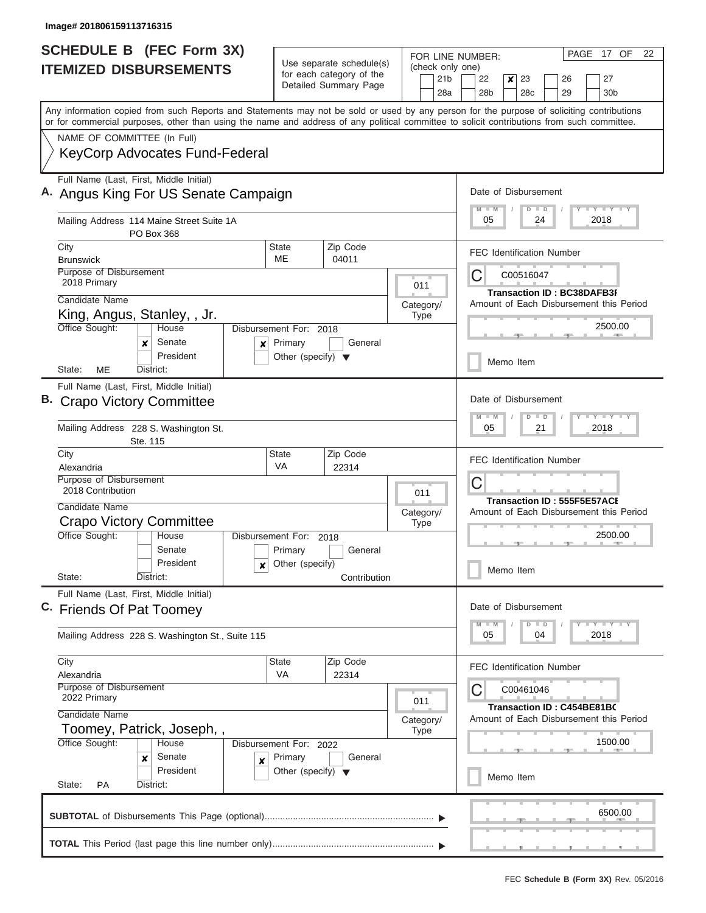| <b>SCHEDULE B (FEC Form 3X)</b>                                                                                                                                                                                                                                                         |                                                                   |                                                |             |                        | FOR LINE NUMBER:                                                       |                                  |                 | PAGE 17 OF                                                    | 22 |  |
|-----------------------------------------------------------------------------------------------------------------------------------------------------------------------------------------------------------------------------------------------------------------------------------------|-------------------------------------------------------------------|------------------------------------------------|-------------|------------------------|------------------------------------------------------------------------|----------------------------------|-----------------|---------------------------------------------------------------|----|--|
| <b>ITEMIZED DISBURSEMENTS</b>                                                                                                                                                                                                                                                           | Use separate schedule(s)<br>for each category of the              |                                                |             | (check only one)       |                                                                        |                                  |                 |                                                               |    |  |
|                                                                                                                                                                                                                                                                                         |                                                                   | Detailed Summary Page                          |             | 21 <sub>b</sub><br>28a | 22<br>28 <sub>b</sub>                                                  | x<br>23<br>28c                   | 26<br>29        | 27<br>30 <sub>b</sub>                                         |    |  |
| Any information copied from such Reports and Statements may not be sold or used by any person for the purpose of soliciting contributions<br>or for commercial purposes, other than using the name and address of any political committee to solicit contributions from such committee. |                                                                   |                                                |             |                        |                                                                        |                                  |                 |                                                               |    |  |
| NAME OF COMMITTEE (In Full)                                                                                                                                                                                                                                                             |                                                                   |                                                |             |                        |                                                                        |                                  |                 |                                                               |    |  |
| <b>KeyCorp Advocates Fund-Federal</b>                                                                                                                                                                                                                                                   |                                                                   |                                                |             |                        |                                                                        |                                  |                 |                                                               |    |  |
| Full Name (Last, First, Middle Initial)<br>A. Angus King For US Senate Campaign                                                                                                                                                                                                         |                                                                   |                                                |             |                        | Date of Disbursement                                                   |                                  | <b>LY LY LY</b> |                                                               |    |  |
| Mailing Address 114 Maine Street Suite 1A<br>PO Box 368                                                                                                                                                                                                                                 |                                                                   |                                                |             |                        | 05                                                                     | $\blacksquare$<br>24             |                 | 2018                                                          |    |  |
| City<br><b>Brunswick</b>                                                                                                                                                                                                                                                                | <b>State</b><br>ME                                                | Zip Code                                       |             |                        |                                                                        | <b>FEC Identification Number</b> |                 |                                                               |    |  |
| Purpose of Disbursement                                                                                                                                                                                                                                                                 |                                                                   | 04011                                          |             |                        | C                                                                      | C00516047                        |                 |                                                               |    |  |
| 2018 Primary                                                                                                                                                                                                                                                                            |                                                                   |                                                | 011         |                        |                                                                        |                                  |                 | <b>Transaction ID: BC38DAFB3F</b>                             |    |  |
| Candidate Name                                                                                                                                                                                                                                                                          |                                                                   |                                                | Category/   |                        |                                                                        |                                  |                 | Amount of Each Disbursement this Period                       |    |  |
| King, Angus, Stanley, , Jr.                                                                                                                                                                                                                                                             |                                                                   |                                                | Type        |                        |                                                                        |                                  |                 |                                                               |    |  |
| Office Sought:<br>House<br>Senate<br>x<br>X                                                                                                                                                                                                                                             | Disbursement For: 2018<br>Primary                                 | General                                        |             |                        |                                                                        |                                  |                 | 2500.00                                                       |    |  |
| President<br>ME<br>State:<br>District:                                                                                                                                                                                                                                                  | Other (specify) $\blacktriangledown$                              |                                                |             |                        |                                                                        | Memo Item                        |                 |                                                               |    |  |
| Full Name (Last, First, Middle Initial)                                                                                                                                                                                                                                                 |                                                                   |                                                |             |                        |                                                                        |                                  |                 |                                                               |    |  |
| B. Crapo Victory Committee                                                                                                                                                                                                                                                              |                                                                   |                                                |             |                        | Date of Disbursement<br>$-1$ $-1$ $-1$ $-1$ $-1$<br>$M - M$<br>$D$ $D$ |                                  |                 |                                                               |    |  |
| Mailing Address 228 S. Washington St.<br>Ste. 115                                                                                                                                                                                                                                       |                                                                   | 05<br>21<br>2018                               |             |                        |                                                                        |                                  |                 |                                                               |    |  |
| City<br>Alexandria                                                                                                                                                                                                                                                                      | <b>State</b><br>VA                                                | Zip Code<br>22314                              |             |                        |                                                                        | <b>FEC Identification Number</b> |                 |                                                               |    |  |
| Purpose of Disbursement<br>2018 Contribution                                                                                                                                                                                                                                            |                                                                   |                                                | 011         |                        | C                                                                      |                                  |                 |                                                               |    |  |
| Candidate Name                                                                                                                                                                                                                                                                          | Category/<br><b>Type</b>                                          |                                                |             |                        |                                                                        |                                  |                 | Transaction ID: 555F5E57ACI                                   |    |  |
| <b>Crapo Victory Committee</b>                                                                                                                                                                                                                                                          |                                                                   |                                                |             |                        |                                                                        |                                  |                 | Amount of Each Disbursement this Period                       |    |  |
| Office Sought:<br>House                                                                                                                                                                                                                                                                 | Disbursement For: 2018                                            |                                                |             |                        |                                                                        |                                  |                 | 2500.00                                                       |    |  |
| Senate                                                                                                                                                                                                                                                                                  | Primary                                                           | General                                        |             |                        |                                                                        |                                  |                 |                                                               |    |  |
| President<br>x<br>State:<br>District:                                                                                                                                                                                                                                                   | Other (specify)                                                   | Contribution                                   |             |                        |                                                                        | Memo Item                        |                 |                                                               |    |  |
| Full Name (Last, First, Middle Initial)<br>C. Friends Of Pat Toomey                                                                                                                                                                                                                     |                                                                   |                                                |             |                        |                                                                        |                                  |                 |                                                               |    |  |
| Mailing Address 228 S. Washington St., Suite 115                                                                                                                                                                                                                                        |                                                                   |                                                |             |                        | 05                                                                     | $\blacksquare$<br>04             |                 | $\Box$ $\Upsilon$ $\Box$ $\Upsilon$ $\Box$ $\Upsilon$<br>2018 |    |  |
| City                                                                                                                                                                                                                                                                                    | <b>State</b><br>Zip Code                                          |                                                |             |                        |                                                                        |                                  |                 |                                                               |    |  |
| Alexandria                                                                                                                                                                                                                                                                              | VA                                                                | 22314                                          |             |                        |                                                                        | <b>FEC Identification Number</b> |                 |                                                               |    |  |
| Purpose of Disbursement<br>2022 Primary                                                                                                                                                                                                                                                 | 011                                                               | C00461046<br><b>Transaction ID: C454BE81B0</b> |             |                        |                                                                        |                                  |                 |                                                               |    |  |
| Candidate Name                                                                                                                                                                                                                                                                          |                                                                   |                                                | Category/   |                        |                                                                        |                                  |                 | Amount of Each Disbursement this Period                       |    |  |
| Toomey, Patrick, Joseph,,                                                                                                                                                                                                                                                               |                                                                   |                                                | <b>Type</b> |                        |                                                                        |                                  |                 |                                                               |    |  |
| Office Sought:<br>House<br>Senate                                                                                                                                                                                                                                                       | Disbursement For: 2022<br>Primary                                 | General                                        |             |                        |                                                                        |                                  |                 | 1500.00                                                       |    |  |
| ×<br>×<br>President                                                                                                                                                                                                                                                                     | Other (specify) $\blacktriangledown$<br>State:<br>District:<br>PA |                                                |             |                        |                                                                        |                                  |                 |                                                               |    |  |
|                                                                                                                                                                                                                                                                                         |                                                                   |                                                |             |                        |                                                                        |                                  |                 | 6500.00                                                       |    |  |
|                                                                                                                                                                                                                                                                                         |                                                                   |                                                |             |                        |                                                                        |                                  |                 |                                                               |    |  |
|                                                                                                                                                                                                                                                                                         |                                                                   |                                                |             |                        |                                                                        |                                  |                 |                                                               |    |  |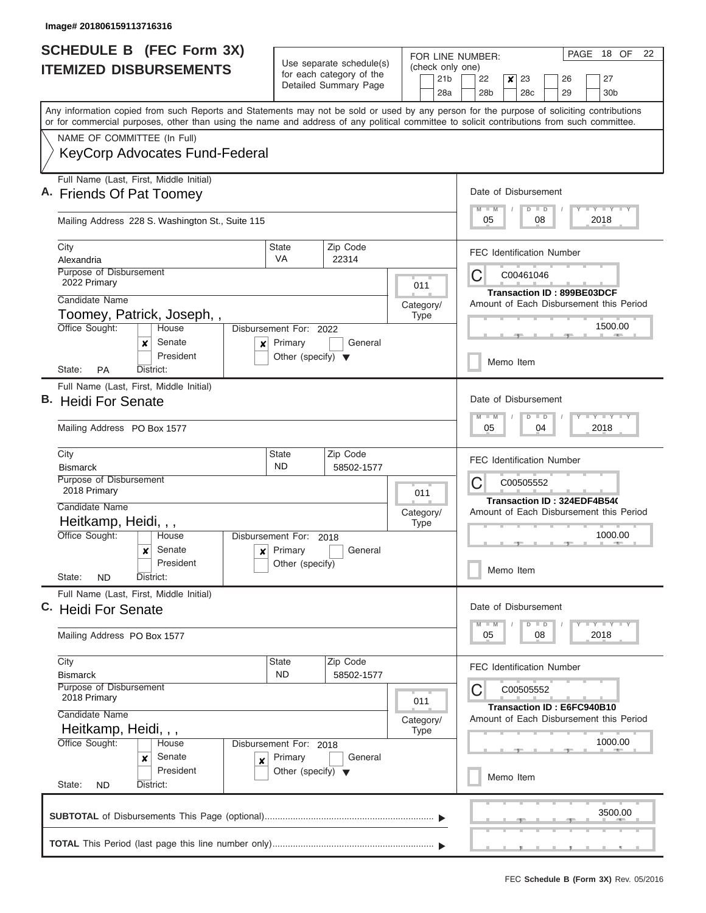| <b>SCHEDULE B (FEC Form 3X)</b>                                                                                                                                                                                                                                                         |                                                                           |                                                                               | FOR LINE NUMBER:                                    | PAGE 18 OF<br>-22                                                                |  |  |
|-----------------------------------------------------------------------------------------------------------------------------------------------------------------------------------------------------------------------------------------------------------------------------------------|---------------------------------------------------------------------------|-------------------------------------------------------------------------------|-----------------------------------------------------|----------------------------------------------------------------------------------|--|--|
| <b>ITEMIZED DISBURSEMENTS</b>                                                                                                                                                                                                                                                           |                                                                           | Use separate schedule(s)<br>for each category of the<br>Detailed Summary Page | (check only one)<br>21 <sub>b</sub><br>28a          | 23<br>27<br>22<br>x<br>26<br>28b<br>28c<br>29<br>30 <sub>b</sub>                 |  |  |
| Any information copied from such Reports and Statements may not be sold or used by any person for the purpose of soliciting contributions<br>or for commercial purposes, other than using the name and address of any political committee to solicit contributions from such committee. |                                                                           |                                                                               |                                                     |                                                                                  |  |  |
| NAME OF COMMITTEE (In Full)                                                                                                                                                                                                                                                             |                                                                           |                                                                               |                                                     |                                                                                  |  |  |
| <b>KeyCorp Advocates Fund-Federal</b>                                                                                                                                                                                                                                                   |                                                                           |                                                                               |                                                     |                                                                                  |  |  |
| Full Name (Last, First, Middle Initial)<br>A. Friends Of Pat Toomey<br>Mailing Address 228 S. Washington St., Suite 115                                                                                                                                                                 |                                                                           |                                                                               |                                                     | Date of Disbursement<br>Y I Y I Y I Y<br>M<br>$D$ $D$<br>05<br>08<br>2018        |  |  |
|                                                                                                                                                                                                                                                                                         |                                                                           |                                                                               |                                                     |                                                                                  |  |  |
| City<br>Alexandria                                                                                                                                                                                                                                                                      | <b>State</b><br>VA                                                        | Zip Code<br>22314                                                             |                                                     | <b>FEC Identification Number</b>                                                 |  |  |
| Purpose of Disbursement<br>2022 Primary                                                                                                                                                                                                                                                 |                                                                           |                                                                               | 011                                                 | C<br>C00461046                                                                   |  |  |
| Candidate Name                                                                                                                                                                                                                                                                          |                                                                           |                                                                               | Category/                                           | Transaction ID: 899BE03DCF<br>Amount of Each Disbursement this Period            |  |  |
| Toomey, Patrick, Joseph,,                                                                                                                                                                                                                                                               |                                                                           |                                                                               | <b>Type</b>                                         |                                                                                  |  |  |
| Office Sought:<br>House<br>Senate<br>×<br>×<br>President                                                                                                                                                                                                                                | Disbursement For: 2022<br>Primary                                         | General                                                                       |                                                     | 1500.00                                                                          |  |  |
| <b>PA</b><br>District:<br>State:                                                                                                                                                                                                                                                        | Other (specify) $\blacktriangledown$                                      |                                                                               |                                                     | Memo Item                                                                        |  |  |
| Full Name (Last, First, Middle Initial)<br>В.<br><b>Heidi For Senate</b>                                                                                                                                                                                                                |                                                                           | Date of Disbursement<br>Y FY FY FY<br>M<br>W<br>$D$ $D$                       |                                                     |                                                                                  |  |  |
| Mailing Address PO Box 1577                                                                                                                                                                                                                                                             |                                                                           | 05<br>2018<br>04                                                              |                                                     |                                                                                  |  |  |
| City<br><b>Bismarck</b>                                                                                                                                                                                                                                                                 | <b>State</b><br>ND                                                        | Zip Code<br>58502-1577                                                        |                                                     | <b>FEC Identification Number</b>                                                 |  |  |
| Purpose of Disbursement                                                                                                                                                                                                                                                                 |                                                                           |                                                                               |                                                     | C00505552<br>C                                                                   |  |  |
| 2018 Primary<br>Candidate Name                                                                                                                                                                                                                                                          |                                                                           |                                                                               | 011                                                 | Transaction ID: 324EDF4B54(                                                      |  |  |
| Heitkamp, Heidi, , ,                                                                                                                                                                                                                                                                    |                                                                           |                                                                               | Category/<br><b>Type</b>                            | Amount of Each Disbursement this Period                                          |  |  |
| Office Sought:<br>House                                                                                                                                                                                                                                                                 | Disbursement For:                                                         | 2018                                                                          |                                                     | 1000.00                                                                          |  |  |
| Senate<br>x<br>President                                                                                                                                                                                                                                                                | Primary<br>General<br>x<br>Other (specify)                                |                                                                               |                                                     |                                                                                  |  |  |
| State:<br><b>ND</b><br>District:<br>Full Name (Last, First, Middle Initial)                                                                                                                                                                                                             |                                                                           |                                                                               |                                                     |                                                                                  |  |  |
| C. Heidi For Senate                                                                                                                                                                                                                                                                     |                                                                           |                                                                               |                                                     | Date of Disbursement<br>$Y$ $Y$ $Y$ $Y$ $Y$<br>$\overline{M}$<br>$D$ $D$<br>$-M$ |  |  |
| Mailing Address PO Box 1577                                                                                                                                                                                                                                                             |                                                                           |                                                                               |                                                     | 2018<br>05<br>08                                                                 |  |  |
| City<br><b>Bismarck</b>                                                                                                                                                                                                                                                                 | <b>State</b><br><b>ND</b>                                                 | Zip Code<br>58502-1577                                                        |                                                     | <b>FEC Identification Number</b>                                                 |  |  |
| Purpose of Disbursement<br>2018 Primary                                                                                                                                                                                                                                                 |                                                                           | 011                                                                           | С<br>C00505552<br><b>Transaction ID: E6FC940B10</b> |                                                                                  |  |  |
| Candidate Name<br>Heitkamp, Heidi, , ,                                                                                                                                                                                                                                                  |                                                                           |                                                                               | Category/<br><b>Type</b>                            | Amount of Each Disbursement this Period<br>1000.00                               |  |  |
| Office Sought:<br>House<br>Senate<br>x<br>$\pmb{\times}$<br>President                                                                                                                                                                                                                   | Disbursement For: 2018<br>Primary<br>Other (specify) $\blacktriangledown$ | General                                                                       |                                                     |                                                                                  |  |  |
| State:<br>District:<br><b>ND</b>                                                                                                                                                                                                                                                        |                                                                           |                                                                               |                                                     | Memo Item                                                                        |  |  |
|                                                                                                                                                                                                                                                                                         |                                                                           |                                                                               |                                                     | 3500.00                                                                          |  |  |
|                                                                                                                                                                                                                                                                                         |                                                                           |                                                                               |                                                     |                                                                                  |  |  |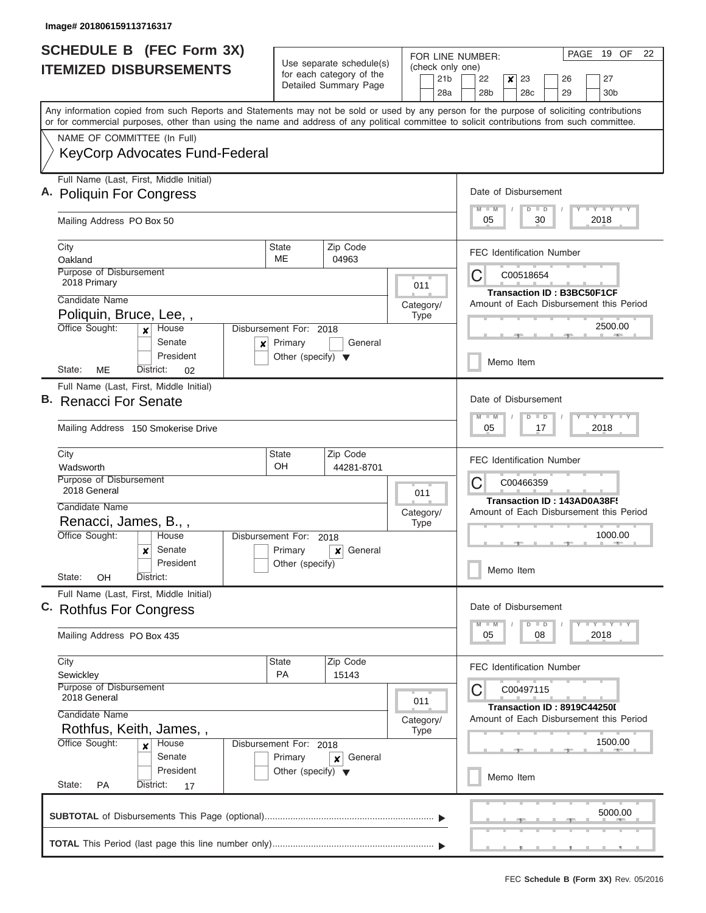I

| <b>SCHEDULE B (FEC Form 3X)</b>                                                                                                                                                                                                                                                         |                                                                              |                                                                               | FOR LINE NUMBER:               | PAGE 19 OF<br>22                                                                            |  |  |  |
|-----------------------------------------------------------------------------------------------------------------------------------------------------------------------------------------------------------------------------------------------------------------------------------------|------------------------------------------------------------------------------|-------------------------------------------------------------------------------|--------------------------------|---------------------------------------------------------------------------------------------|--|--|--|
| <b>ITEMIZED DISBURSEMENTS</b>                                                                                                                                                                                                                                                           |                                                                              | Use separate schedule(s)<br>for each category of the<br>Detailed Summary Page | (check only one)<br>21b<br>28a | 22<br>$\boldsymbol{x}$<br>23<br>26<br>27<br>28 <sub>b</sub><br>28c<br>29<br>30 <sub>b</sub> |  |  |  |
| Any information copied from such Reports and Statements may not be sold or used by any person for the purpose of soliciting contributions<br>or for commercial purposes, other than using the name and address of any political committee to solicit contributions from such committee. |                                                                              |                                                                               |                                |                                                                                             |  |  |  |
| NAME OF COMMITTEE (In Full)                                                                                                                                                                                                                                                             |                                                                              |                                                                               |                                |                                                                                             |  |  |  |
| <b>KeyCorp Advocates Fund-Federal</b>                                                                                                                                                                                                                                                   |                                                                              |                                                                               |                                |                                                                                             |  |  |  |
| Full Name (Last, First, Middle Initial)<br>A. Poliquin For Congress                                                                                                                                                                                                                     |                                                                              |                                                                               |                                | Date of Disbursement<br>Y LY LY LY<br>$M$ $M$<br>$D$ $D$                                    |  |  |  |
| Mailing Address PO Box 50                                                                                                                                                                                                                                                               |                                                                              |                                                                               |                                | 05<br>30<br>2018                                                                            |  |  |  |
| City<br>Oakland                                                                                                                                                                                                                                                                         | State<br>ME                                                                  | Zip Code<br>04963                                                             |                                | <b>FEC Identification Number</b>                                                            |  |  |  |
| <b>Purpose of Disbursement</b><br>2018 Primary                                                                                                                                                                                                                                          |                                                                              |                                                                               | 011                            | C<br>C00518654                                                                              |  |  |  |
| Candidate Name                                                                                                                                                                                                                                                                          |                                                                              |                                                                               | Category/                      | <b>Transaction ID: B3BC50F1CF</b><br>Amount of Each Disbursement this Period                |  |  |  |
| Poliquin, Bruce, Lee,,<br>Office Sought:<br>House<br>$\mathbf{x}$                                                                                                                                                                                                                       | Disbursement For: 2018                                                       |                                                                               | <b>Type</b>                    | 2500.00                                                                                     |  |  |  |
| Senate<br>$\boldsymbol{x}$<br>President                                                                                                                                                                                                                                                 | Primary<br>Other (specify) $\blacktriangledown$                              | General                                                                       |                                | Memo Item                                                                                   |  |  |  |
| ME<br>District:<br>State:<br>02<br>Full Name (Last, First, Middle Initial)                                                                                                                                                                                                              |                                                                              |                                                                               |                                |                                                                                             |  |  |  |
| B. Renacci For Senate                                                                                                                                                                                                                                                                   |                                                                              |                                                                               |                                |                                                                                             |  |  |  |
| Mailing Address 150 Smokerise Drive                                                                                                                                                                                                                                                     | Y FY FY FY<br>$M - M$<br>$D$ $D$<br>2018<br>05<br>17                         |                                                                               |                                |                                                                                             |  |  |  |
| City<br>Wadsworth                                                                                                                                                                                                                                                                       | <b>State</b><br>OH                                                           | Zip Code<br>44281-8701                                                        |                                | <b>FEC Identification Number</b>                                                            |  |  |  |
| Purpose of Disbursement<br>2018 General                                                                                                                                                                                                                                                 |                                                                              |                                                                               | 011                            | C<br>C00466359                                                                              |  |  |  |
| Candidate Name                                                                                                                                                                                                                                                                          |                                                                              |                                                                               |                                | Transaction ID: 143AD0A38F!                                                                 |  |  |  |
| Renacci, James, B.,,                                                                                                                                                                                                                                                                    |                                                                              |                                                                               | Category/<br><b>Type</b>       | Amount of Each Disbursement this Period                                                     |  |  |  |
| Office Sought:<br>House                                                                                                                                                                                                                                                                 | Disbursement For:                                                            | 2018                                                                          |                                | 1000.00                                                                                     |  |  |  |
| Senate<br>x                                                                                                                                                                                                                                                                             | Primary                                                                      | General<br>×                                                                  |                                |                                                                                             |  |  |  |
| President<br>State:<br>OH<br>District:                                                                                                                                                                                                                                                  | Other (specify)                                                              |                                                                               |                                | Memo Item                                                                                   |  |  |  |
| Full Name (Last, First, Middle Initial)<br>C. Rothfus For Congress                                                                                                                                                                                                                      |                                                                              |                                                                               |                                |                                                                                             |  |  |  |
| Mailing Address PO Box 435                                                                                                                                                                                                                                                              |                                                                              |                                                                               |                                |                                                                                             |  |  |  |
| City<br>Sewickley                                                                                                                                                                                                                                                                       | State<br>PA                                                                  | Zip Code<br>15143                                                             |                                | <b>FEC Identification Number</b>                                                            |  |  |  |
| Purpose of Disbursement<br>2018 General                                                                                                                                                                                                                                                 | 011                                                                          | C<br>C00497115                                                                |                                |                                                                                             |  |  |  |
| Candidate Name                                                                                                                                                                                                                                                                          | Category/                                                                    | Transaction ID: 8919C44250I<br>Amount of Each Disbursement this Period        |                                |                                                                                             |  |  |  |
| Rothfus, Keith, James,,<br>Office Sought:<br>House                                                                                                                                                                                                                                      | Disbursement For: 2018                                                       |                                                                               | <b>Type</b>                    | 1500.00                                                                                     |  |  |  |
| Senate<br>President                                                                                                                                                                                                                                                                     | Primary<br>General<br>$\pmb{\times}$<br>Other (specify) $\blacktriangledown$ |                                                                               |                                |                                                                                             |  |  |  |
| State:<br>PA<br>District:<br>17                                                                                                                                                                                                                                                         |                                                                              |                                                                               |                                |                                                                                             |  |  |  |
|                                                                                                                                                                                                                                                                                         |                                                                              |                                                                               |                                | 5000.00                                                                                     |  |  |  |
|                                                                                                                                                                                                                                                                                         |                                                                              |                                                                               |                                |                                                                                             |  |  |  |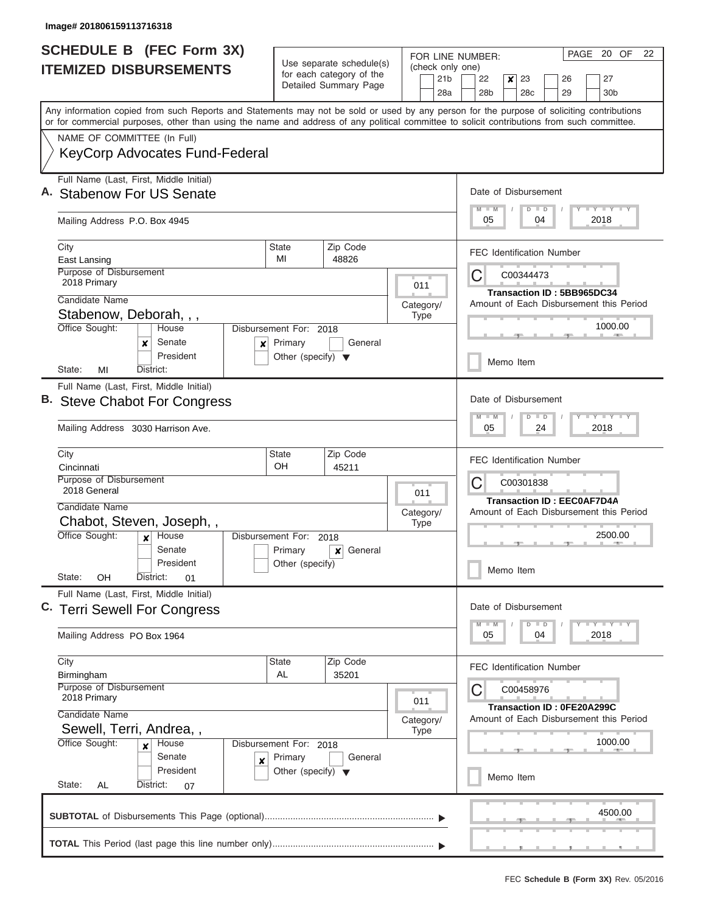| for each category of the<br>21 <sub>b</sub><br>22<br>$\boldsymbol{x}$<br>23<br>26<br>27<br>Detailed Summary Page<br>28 <sub>b</sub><br>29<br>28a<br>28 <sub>c</sub><br>30 <sub>b</sub><br>Any information copied from such Reports and Statements may not be sold or used by any person for the purpose of soliciting contributions<br>or for commercial purposes, other than using the name and address of any political committee to solicit contributions from such committee.<br>NAME OF COMMITTEE (In Full)<br><b>KeyCorp Advocates Fund-Federal</b><br>Full Name (Last, First, Middle Initial)<br>Date of Disbursement<br>Y I Y I Y I Y<br>$M - M$<br>$D$ $D$<br>05<br>2018<br>04<br>Mailing Address P.O. Box 4945<br>Zip Code<br>City<br>State<br><b>FEC Identification Number</b><br>MI<br>48826<br>East Lansing<br>Purpose of Disbursement<br>C<br>C00344473<br>2018 Primary<br>011<br><b>Transaction ID: 5BB965DC34</b><br>Candidate Name<br>Amount of Each Disbursement this Period<br>Category/<br>Stabenow, Deborah, , ,<br><b>Type</b><br>Office Sought:<br>1000.00<br>House<br>Disbursement For: 2018<br>Senate<br>Primary<br>General<br>×<br>×<br>President<br>Other (specify) $\blacktriangledown$<br>Memo Item<br>MI<br>District:<br>State:<br>Full Name (Last, First, Middle Initial)<br>Date of Disbursement<br><b>Steve Chabot For Congress</b><br>$Y = Y = Y = Y + Y$<br>M<br>$-W$<br>$D$ $D$<br>Mailing Address 3030 Harrison Ave.<br>05<br>24<br>2018<br>Zip Code<br>City<br>State<br><b>FEC Identification Number</b><br>OH<br>Cincinnati<br>45211<br>Purpose of Disbursement<br>С<br>C00301838<br>2018 General<br>011<br><b>Transaction ID: EEC0AF7D4A</b><br>Candidate Name<br>Amount of Each Disbursement this Period<br>Category/<br>Chabot, Steven, Joseph,,<br><b>Type</b><br>Office Sought:<br>2500.00<br>House<br>Disbursement For:<br>$\boldsymbol{x}$<br>2018<br>Senate<br>Primary<br>General<br>×<br>President<br>Other (specify)<br>Memo Item<br>State:<br>OΗ<br>District:<br>01<br>Full Name (Last, First, Middle Initial)<br>Date of Disbursement<br>C. Terri Sewell For Congress<br>$Y - Y - Y - Y - Y$<br>M<br>$D$ $D$<br>$-M$<br>Mailing Address PO Box 1964<br>05<br>04<br>2018<br>City<br>Zip Code<br>State<br><b>FEC Identification Number</b><br>AL<br>35201<br>Birmingham<br>Purpose of Disbursement<br>C<br>C00458976<br>2018 Primary<br>011<br>Transaction ID: 0FE20A299C<br>Candidate Name<br>Amount of Each Disbursement this Period<br>Category/<br>Sewell, Terri, Andrea, ,<br><b>Type</b><br>1000.00<br>Office Sought:<br>House<br>Disbursement For: 2018<br>$\boldsymbol{x}$<br>Senate<br>Primary<br>General<br>×<br>President<br>Other (specify) $\blacktriangledown$<br>Memo Item<br>State:<br>AL<br>District:<br>07<br>4500.00 | <b>SCHEDULE B (FEC Form 3X)</b><br><b>ITEMIZED DISBURSEMENTS</b> | Use separate schedule(s) |  |  | PAGE 20 OF<br>22<br>FOR LINE NUMBER:<br>(check only one) |  |  |  |  |  |  |  |
|------------------------------------------------------------------------------------------------------------------------------------------------------------------------------------------------------------------------------------------------------------------------------------------------------------------------------------------------------------------------------------------------------------------------------------------------------------------------------------------------------------------------------------------------------------------------------------------------------------------------------------------------------------------------------------------------------------------------------------------------------------------------------------------------------------------------------------------------------------------------------------------------------------------------------------------------------------------------------------------------------------------------------------------------------------------------------------------------------------------------------------------------------------------------------------------------------------------------------------------------------------------------------------------------------------------------------------------------------------------------------------------------------------------------------------------------------------------------------------------------------------------------------------------------------------------------------------------------------------------------------------------------------------------------------------------------------------------------------------------------------------------------------------------------------------------------------------------------------------------------------------------------------------------------------------------------------------------------------------------------------------------------------------------------------------------------------------------------------------------------------------------------------------------------------------------------------------------------------------------------------------------------------------------------------------------------------------------------------------------------------------------------------------------------------------------------------------------------------------------------------------------------------------------------------------------------------------------------------------------------------------------------------------------------------------------------------------------------------------------------------------------------------------------|------------------------------------------------------------------|--------------------------|--|--|----------------------------------------------------------|--|--|--|--|--|--|--|
|                                                                                                                                                                                                                                                                                                                                                                                                                                                                                                                                                                                                                                                                                                                                                                                                                                                                                                                                                                                                                                                                                                                                                                                                                                                                                                                                                                                                                                                                                                                                                                                                                                                                                                                                                                                                                                                                                                                                                                                                                                                                                                                                                                                                                                                                                                                                                                                                                                                                                                                                                                                                                                                                                                                                                                                          |                                                                  |                          |  |  |                                                          |  |  |  |  |  |  |  |
|                                                                                                                                                                                                                                                                                                                                                                                                                                                                                                                                                                                                                                                                                                                                                                                                                                                                                                                                                                                                                                                                                                                                                                                                                                                                                                                                                                                                                                                                                                                                                                                                                                                                                                                                                                                                                                                                                                                                                                                                                                                                                                                                                                                                                                                                                                                                                                                                                                                                                                                                                                                                                                                                                                                                                                                          |                                                                  |                          |  |  |                                                          |  |  |  |  |  |  |  |
|                                                                                                                                                                                                                                                                                                                                                                                                                                                                                                                                                                                                                                                                                                                                                                                                                                                                                                                                                                                                                                                                                                                                                                                                                                                                                                                                                                                                                                                                                                                                                                                                                                                                                                                                                                                                                                                                                                                                                                                                                                                                                                                                                                                                                                                                                                                                                                                                                                                                                                                                                                                                                                                                                                                                                                                          |                                                                  |                          |  |  |                                                          |  |  |  |  |  |  |  |
|                                                                                                                                                                                                                                                                                                                                                                                                                                                                                                                                                                                                                                                                                                                                                                                                                                                                                                                                                                                                                                                                                                                                                                                                                                                                                                                                                                                                                                                                                                                                                                                                                                                                                                                                                                                                                                                                                                                                                                                                                                                                                                                                                                                                                                                                                                                                                                                                                                                                                                                                                                                                                                                                                                                                                                                          |                                                                  |                          |  |  |                                                          |  |  |  |  |  |  |  |
|                                                                                                                                                                                                                                                                                                                                                                                                                                                                                                                                                                                                                                                                                                                                                                                                                                                                                                                                                                                                                                                                                                                                                                                                                                                                                                                                                                                                                                                                                                                                                                                                                                                                                                                                                                                                                                                                                                                                                                                                                                                                                                                                                                                                                                                                                                                                                                                                                                                                                                                                                                                                                                                                                                                                                                                          | A. Stabenow For US Senate                                        |                          |  |  |                                                          |  |  |  |  |  |  |  |
|                                                                                                                                                                                                                                                                                                                                                                                                                                                                                                                                                                                                                                                                                                                                                                                                                                                                                                                                                                                                                                                                                                                                                                                                                                                                                                                                                                                                                                                                                                                                                                                                                                                                                                                                                                                                                                                                                                                                                                                                                                                                                                                                                                                                                                                                                                                                                                                                                                                                                                                                                                                                                                                                                                                                                                                          |                                                                  |                          |  |  |                                                          |  |  |  |  |  |  |  |
|                                                                                                                                                                                                                                                                                                                                                                                                                                                                                                                                                                                                                                                                                                                                                                                                                                                                                                                                                                                                                                                                                                                                                                                                                                                                                                                                                                                                                                                                                                                                                                                                                                                                                                                                                                                                                                                                                                                                                                                                                                                                                                                                                                                                                                                                                                                                                                                                                                                                                                                                                                                                                                                                                                                                                                                          |                                                                  |                          |  |  |                                                          |  |  |  |  |  |  |  |
|                                                                                                                                                                                                                                                                                                                                                                                                                                                                                                                                                                                                                                                                                                                                                                                                                                                                                                                                                                                                                                                                                                                                                                                                                                                                                                                                                                                                                                                                                                                                                                                                                                                                                                                                                                                                                                                                                                                                                                                                                                                                                                                                                                                                                                                                                                                                                                                                                                                                                                                                                                                                                                                                                                                                                                                          |                                                                  |                          |  |  |                                                          |  |  |  |  |  |  |  |
|                                                                                                                                                                                                                                                                                                                                                                                                                                                                                                                                                                                                                                                                                                                                                                                                                                                                                                                                                                                                                                                                                                                                                                                                                                                                                                                                                                                                                                                                                                                                                                                                                                                                                                                                                                                                                                                                                                                                                                                                                                                                                                                                                                                                                                                                                                                                                                                                                                                                                                                                                                                                                                                                                                                                                                                          |                                                                  |                          |  |  |                                                          |  |  |  |  |  |  |  |
|                                                                                                                                                                                                                                                                                                                                                                                                                                                                                                                                                                                                                                                                                                                                                                                                                                                                                                                                                                                                                                                                                                                                                                                                                                                                                                                                                                                                                                                                                                                                                                                                                                                                                                                                                                                                                                                                                                                                                                                                                                                                                                                                                                                                                                                                                                                                                                                                                                                                                                                                                                                                                                                                                                                                                                                          |                                                                  |                          |  |  |                                                          |  |  |  |  |  |  |  |
|                                                                                                                                                                                                                                                                                                                                                                                                                                                                                                                                                                                                                                                                                                                                                                                                                                                                                                                                                                                                                                                                                                                                                                                                                                                                                                                                                                                                                                                                                                                                                                                                                                                                                                                                                                                                                                                                                                                                                                                                                                                                                                                                                                                                                                                                                                                                                                                                                                                                                                                                                                                                                                                                                                                                                                                          |                                                                  |                          |  |  |                                                          |  |  |  |  |  |  |  |
|                                                                                                                                                                                                                                                                                                                                                                                                                                                                                                                                                                                                                                                                                                                                                                                                                                                                                                                                                                                                                                                                                                                                                                                                                                                                                                                                                                                                                                                                                                                                                                                                                                                                                                                                                                                                                                                                                                                                                                                                                                                                                                                                                                                                                                                                                                                                                                                                                                                                                                                                                                                                                                                                                                                                                                                          |                                                                  |                          |  |  |                                                          |  |  |  |  |  |  |  |
|                                                                                                                                                                                                                                                                                                                                                                                                                                                                                                                                                                                                                                                                                                                                                                                                                                                                                                                                                                                                                                                                                                                                                                                                                                                                                                                                                                                                                                                                                                                                                                                                                                                                                                                                                                                                                                                                                                                                                                                                                                                                                                                                                                                                                                                                                                                                                                                                                                                                                                                                                                                                                                                                                                                                                                                          |                                                                  |                          |  |  |                                                          |  |  |  |  |  |  |  |
|                                                                                                                                                                                                                                                                                                                                                                                                                                                                                                                                                                                                                                                                                                                                                                                                                                                                                                                                                                                                                                                                                                                                                                                                                                                                                                                                                                                                                                                                                                                                                                                                                                                                                                                                                                                                                                                                                                                                                                                                                                                                                                                                                                                                                                                                                                                                                                                                                                                                                                                                                                                                                                                                                                                                                                                          |                                                                  |                          |  |  |                                                          |  |  |  |  |  |  |  |
|                                                                                                                                                                                                                                                                                                                                                                                                                                                                                                                                                                                                                                                                                                                                                                                                                                                                                                                                                                                                                                                                                                                                                                                                                                                                                                                                                                                                                                                                                                                                                                                                                                                                                                                                                                                                                                                                                                                                                                                                                                                                                                                                                                                                                                                                                                                                                                                                                                                                                                                                                                                                                                                                                                                                                                                          |                                                                  |                          |  |  |                                                          |  |  |  |  |  |  |  |
|                                                                                                                                                                                                                                                                                                                                                                                                                                                                                                                                                                                                                                                                                                                                                                                                                                                                                                                                                                                                                                                                                                                                                                                                                                                                                                                                                                                                                                                                                                                                                                                                                                                                                                                                                                                                                                                                                                                                                                                                                                                                                                                                                                                                                                                                                                                                                                                                                                                                                                                                                                                                                                                                                                                                                                                          |                                                                  |                          |  |  |                                                          |  |  |  |  |  |  |  |
|                                                                                                                                                                                                                                                                                                                                                                                                                                                                                                                                                                                                                                                                                                                                                                                                                                                                                                                                                                                                                                                                                                                                                                                                                                                                                                                                                                                                                                                                                                                                                                                                                                                                                                                                                                                                                                                                                                                                                                                                                                                                                                                                                                                                                                                                                                                                                                                                                                                                                                                                                                                                                                                                                                                                                                                          |                                                                  |                          |  |  |                                                          |  |  |  |  |  |  |  |
|                                                                                                                                                                                                                                                                                                                                                                                                                                                                                                                                                                                                                                                                                                                                                                                                                                                                                                                                                                                                                                                                                                                                                                                                                                                                                                                                                                                                                                                                                                                                                                                                                                                                                                                                                                                                                                                                                                                                                                                                                                                                                                                                                                                                                                                                                                                                                                                                                                                                                                                                                                                                                                                                                                                                                                                          |                                                                  |                          |  |  |                                                          |  |  |  |  |  |  |  |
|                                                                                                                                                                                                                                                                                                                                                                                                                                                                                                                                                                                                                                                                                                                                                                                                                                                                                                                                                                                                                                                                                                                                                                                                                                                                                                                                                                                                                                                                                                                                                                                                                                                                                                                                                                                                                                                                                                                                                                                                                                                                                                                                                                                                                                                                                                                                                                                                                                                                                                                                                                                                                                                                                                                                                                                          |                                                                  |                          |  |  |                                                          |  |  |  |  |  |  |  |
|                                                                                                                                                                                                                                                                                                                                                                                                                                                                                                                                                                                                                                                                                                                                                                                                                                                                                                                                                                                                                                                                                                                                                                                                                                                                                                                                                                                                                                                                                                                                                                                                                                                                                                                                                                                                                                                                                                                                                                                                                                                                                                                                                                                                                                                                                                                                                                                                                                                                                                                                                                                                                                                                                                                                                                                          |                                                                  |                          |  |  |                                                          |  |  |  |  |  |  |  |
|                                                                                                                                                                                                                                                                                                                                                                                                                                                                                                                                                                                                                                                                                                                                                                                                                                                                                                                                                                                                                                                                                                                                                                                                                                                                                                                                                                                                                                                                                                                                                                                                                                                                                                                                                                                                                                                                                                                                                                                                                                                                                                                                                                                                                                                                                                                                                                                                                                                                                                                                                                                                                                                                                                                                                                                          |                                                                  |                          |  |  |                                                          |  |  |  |  |  |  |  |
|                                                                                                                                                                                                                                                                                                                                                                                                                                                                                                                                                                                                                                                                                                                                                                                                                                                                                                                                                                                                                                                                                                                                                                                                                                                                                                                                                                                                                                                                                                                                                                                                                                                                                                                                                                                                                                                                                                                                                                                                                                                                                                                                                                                                                                                                                                                                                                                                                                                                                                                                                                                                                                                                                                                                                                                          |                                                                  |                          |  |  |                                                          |  |  |  |  |  |  |  |
|                                                                                                                                                                                                                                                                                                                                                                                                                                                                                                                                                                                                                                                                                                                                                                                                                                                                                                                                                                                                                                                                                                                                                                                                                                                                                                                                                                                                                                                                                                                                                                                                                                                                                                                                                                                                                                                                                                                                                                                                                                                                                                                                                                                                                                                                                                                                                                                                                                                                                                                                                                                                                                                                                                                                                                                          |                                                                  |                          |  |  |                                                          |  |  |  |  |  |  |  |
|                                                                                                                                                                                                                                                                                                                                                                                                                                                                                                                                                                                                                                                                                                                                                                                                                                                                                                                                                                                                                                                                                                                                                                                                                                                                                                                                                                                                                                                                                                                                                                                                                                                                                                                                                                                                                                                                                                                                                                                                                                                                                                                                                                                                                                                                                                                                                                                                                                                                                                                                                                                                                                                                                                                                                                                          |                                                                  |                          |  |  |                                                          |  |  |  |  |  |  |  |
|                                                                                                                                                                                                                                                                                                                                                                                                                                                                                                                                                                                                                                                                                                                                                                                                                                                                                                                                                                                                                                                                                                                                                                                                                                                                                                                                                                                                                                                                                                                                                                                                                                                                                                                                                                                                                                                                                                                                                                                                                                                                                                                                                                                                                                                                                                                                                                                                                                                                                                                                                                                                                                                                                                                                                                                          |                                                                  |                          |  |  |                                                          |  |  |  |  |  |  |  |
|                                                                                                                                                                                                                                                                                                                                                                                                                                                                                                                                                                                                                                                                                                                                                                                                                                                                                                                                                                                                                                                                                                                                                                                                                                                                                                                                                                                                                                                                                                                                                                                                                                                                                                                                                                                                                                                                                                                                                                                                                                                                                                                                                                                                                                                                                                                                                                                                                                                                                                                                                                                                                                                                                                                                                                                          |                                                                  |                          |  |  |                                                          |  |  |  |  |  |  |  |
|                                                                                                                                                                                                                                                                                                                                                                                                                                                                                                                                                                                                                                                                                                                                                                                                                                                                                                                                                                                                                                                                                                                                                                                                                                                                                                                                                                                                                                                                                                                                                                                                                                                                                                                                                                                                                                                                                                                                                                                                                                                                                                                                                                                                                                                                                                                                                                                                                                                                                                                                                                                                                                                                                                                                                                                          |                                                                  |                          |  |  |                                                          |  |  |  |  |  |  |  |
|                                                                                                                                                                                                                                                                                                                                                                                                                                                                                                                                                                                                                                                                                                                                                                                                                                                                                                                                                                                                                                                                                                                                                                                                                                                                                                                                                                                                                                                                                                                                                                                                                                                                                                                                                                                                                                                                                                                                                                                                                                                                                                                                                                                                                                                                                                                                                                                                                                                                                                                                                                                                                                                                                                                                                                                          |                                                                  |                          |  |  |                                                          |  |  |  |  |  |  |  |
|                                                                                                                                                                                                                                                                                                                                                                                                                                                                                                                                                                                                                                                                                                                                                                                                                                                                                                                                                                                                                                                                                                                                                                                                                                                                                                                                                                                                                                                                                                                                                                                                                                                                                                                                                                                                                                                                                                                                                                                                                                                                                                                                                                                                                                                                                                                                                                                                                                                                                                                                                                                                                                                                                                                                                                                          |                                                                  |                          |  |  |                                                          |  |  |  |  |  |  |  |
|                                                                                                                                                                                                                                                                                                                                                                                                                                                                                                                                                                                                                                                                                                                                                                                                                                                                                                                                                                                                                                                                                                                                                                                                                                                                                                                                                                                                                                                                                                                                                                                                                                                                                                                                                                                                                                                                                                                                                                                                                                                                                                                                                                                                                                                                                                                                                                                                                                                                                                                                                                                                                                                                                                                                                                                          |                                                                  |                          |  |  |                                                          |  |  |  |  |  |  |  |
|                                                                                                                                                                                                                                                                                                                                                                                                                                                                                                                                                                                                                                                                                                                                                                                                                                                                                                                                                                                                                                                                                                                                                                                                                                                                                                                                                                                                                                                                                                                                                                                                                                                                                                                                                                                                                                                                                                                                                                                                                                                                                                                                                                                                                                                                                                                                                                                                                                                                                                                                                                                                                                                                                                                                                                                          |                                                                  |                          |  |  |                                                          |  |  |  |  |  |  |  |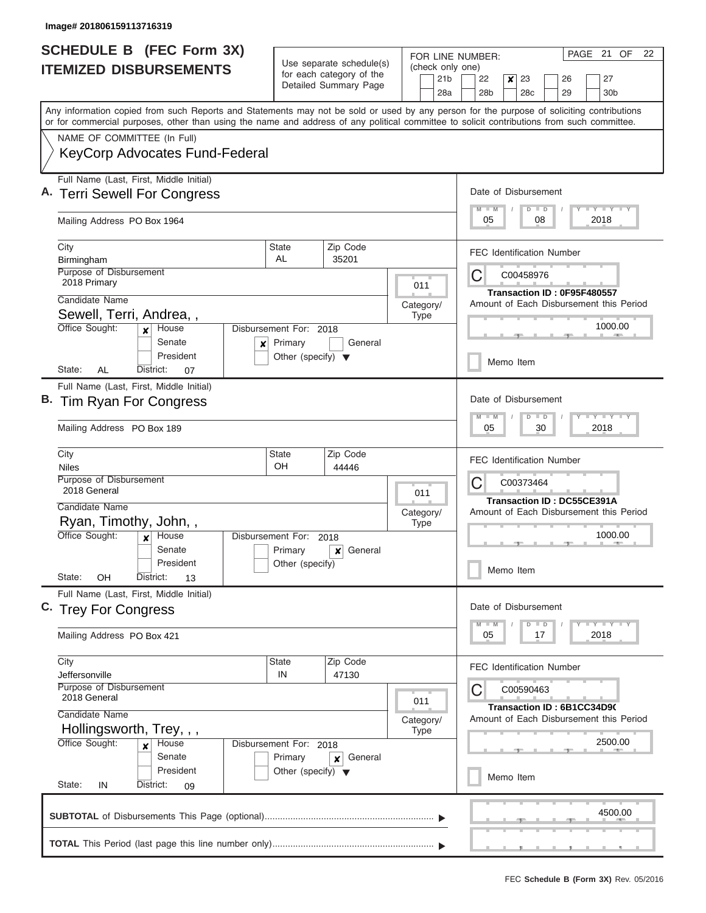| <b>SCHEDULE B</b> (FEC Form 3X)<br><b>ITEMIZED DISBURSEMENTS</b>                                                                                                                                                                                                                                                                                                | Use separate schedule(s)<br>(check only one)<br>for each category of the<br>21 <sub>b</sub><br>Detailed Summary Page<br>28a |                                                                                            |                          | PAGE 21 OF<br>22<br>FOR LINE NUMBER:<br>22<br>$\boldsymbol{x}$<br>23<br>27<br>26<br>28 <sub>b</sub><br>28c<br>29<br>30b |  |  |  |  |  |
|-----------------------------------------------------------------------------------------------------------------------------------------------------------------------------------------------------------------------------------------------------------------------------------------------------------------------------------------------------------------|-----------------------------------------------------------------------------------------------------------------------------|--------------------------------------------------------------------------------------------|--------------------------|-------------------------------------------------------------------------------------------------------------------------|--|--|--|--|--|
| Any information copied from such Reports and Statements may not be sold or used by any person for the purpose of soliciting contributions<br>or for commercial purposes, other than using the name and address of any political committee to solicit contributions from such committee.<br>NAME OF COMMITTEE (In Full)<br><b>KeyCorp Advocates Fund-Federal</b> |                                                                                                                             |                                                                                            |                          |                                                                                                                         |  |  |  |  |  |
| Full Name (Last, First, Middle Initial)<br>A. Terri Sewell For Congress<br>Mailing Address PO Box 1964                                                                                                                                                                                                                                                          |                                                                                                                             |                                                                                            |                          | Date of Disbursement<br>Y LY LY LY<br>$\blacksquare$ M<br>$D$ $D$<br>08<br>2018<br>05                                   |  |  |  |  |  |
| City<br>Birmingham<br>Purpose of Disbursement<br>2018 Primary                                                                                                                                                                                                                                                                                                   | State<br>AL                                                                                                                 | Zip Code<br>35201                                                                          | 011                      | <b>FEC Identification Number</b><br>C00458976<br>Ĉ<br>Transaction ID: 0F95F480557                                       |  |  |  |  |  |
| Candidate Name<br>Sewell, Terri, Andrea,,<br>Office Sought:<br>House<br>x<br>Senate<br>×<br>President                                                                                                                                                                                                                                                           | Disbursement For: 2018<br>Primary<br>Other (specify) $\blacktriangledown$                                                   | General                                                                                    | Category/<br><b>Type</b> | Amount of Each Disbursement this Period<br>1000.00<br>Memo Item                                                         |  |  |  |  |  |
| State:<br>AL<br>District:<br>07<br>Full Name (Last, First, Middle Initial)<br>Tim Ryan For Congress<br>Mailing Address PO Box 189                                                                                                                                                                                                                               |                                                                                                                             | Date of Disbursement<br>$-1 - Y - 1 - Y - 1 - Y$<br>$M - M$<br>$D$ $D$<br>30<br>2018<br>05 |                          |                                                                                                                         |  |  |  |  |  |
| City<br><b>Niles</b><br>Purpose of Disbursement<br>2018 General<br>Candidate Name                                                                                                                                                                                                                                                                               | State<br>OH                                                                                                                 | Zip Code<br>44446                                                                          | 011                      | <b>FEC Identification Number</b><br>C00373464<br>Ĉ<br>Transaction ID: DC55CE391A                                        |  |  |  |  |  |
| Ryan, Timothy, John,,<br>Office Sought:<br>House<br>$\boldsymbol{x}$<br>Senate<br>President<br>State:<br>OН<br>District:<br>13                                                                                                                                                                                                                                  | Disbursement For:<br>Primary<br>Other (specify)                                                                             | 2018<br>General<br>x                                                                       | Category/<br><b>Type</b> | Amount of Each Disbursement this Period<br>1000.00<br>Memo Item                                                         |  |  |  |  |  |
| Full Name (Last, First, Middle Initial)<br>C. Trey For Congress<br>Mailing Address PO Box 421                                                                                                                                                                                                                                                                   |                                                                                                                             | Date of Disbursement<br>$Y - Y - Y - Y - Y$<br>$M$ $M$<br>$D$ $D$<br>2018<br>05<br>17      |                          |                                                                                                                         |  |  |  |  |  |
| City<br>Jeffersonville<br>Purpose of Disbursement<br>2018 General                                                                                                                                                                                                                                                                                               | State<br>IN                                                                                                                 | Zip Code<br>47130                                                                          | 011                      | <b>FEC Identification Number</b><br>С<br>C00590463<br>Transaction ID: 6B1CC34D90                                        |  |  |  |  |  |
| Candidate Name<br>Hollingsworth, Trey, , ,<br>Office Sought:<br>House<br>×<br>Senate<br>President<br>State:<br>IN<br>District:<br>09                                                                                                                                                                                                                            | Disbursement For: 2018<br>Primary<br>Other (specify) $\blacktriangledown$                                                   | General<br>×                                                                               | Category/<br><b>Type</b> | Amount of Each Disbursement this Period<br>2500.00<br>Memo Item                                                         |  |  |  |  |  |
|                                                                                                                                                                                                                                                                                                                                                                 |                                                                                                                             |                                                                                            |                          | 4500.00                                                                                                                 |  |  |  |  |  |